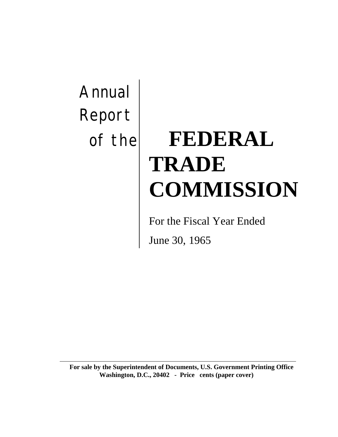# Annual Report

## of the **FEDERAL TRADE COMMISSION**

For the Fiscal Year Ended

June 30, 1965

**For sale by the Superintendent of Documents, U.S. Government Printing Office Washington, D.C., 20402 - Price cents (paper cover)**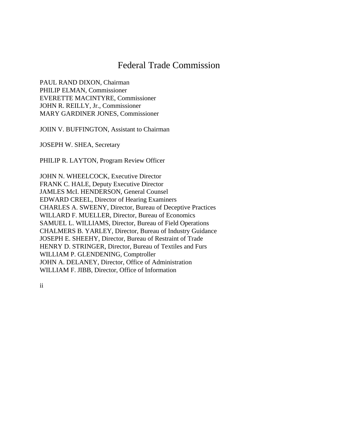## Federal Trade Commission

PAUL RAND DIXON, Chairman PHILIP ELMAN, Commissioner EVERETTE MACINTYRE, Commissioner JOHN R. REILLY, Jr., Commissioner MARY GARDINER JONES, Commissioner

JOIIN V. BUFFINGTON, Assistant to Chairman

JOSEPH W. SHEA, Secretary

PHILIP R. LAYTON, Program Review Officer

JOHN N. WHEELCOCK, Executive Director FRANK C. HALE, Deputy Executive Director JAMLES McI. HENDERSON, General Counsel EDWARD CREEL, Director of Hearing Examiners CHARLES A. SWEENY, Director, Bureau of Deceptive Practices WILLARD F. MUELLER, Director, Bureau of Economics SAMUEL L. WILLIAMS, Director, Bureau of Field Operations CHALMERS B. YARLEY, Director, Bureau of Industry Guidance JOSEPH E. SHEEHY, Director, Bureau of Restraint of Trade HENRY D. STRINGER, Director, Bureau of Textiles and Furs WILLIAM P. GLENDENING, Comptroller JOHN A. DELANEY, Director, Office of Administration WILLIAM F. JIBB, Director, Office of Information

ii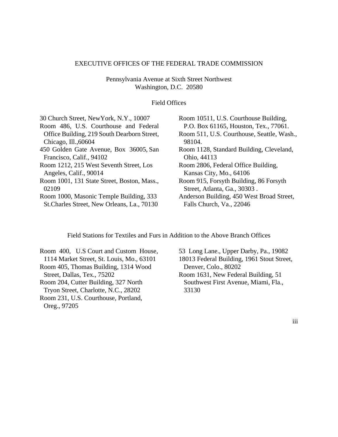#### EXECUTIVE OFFICES OF THE FEDERAL TRADE COMMISSION

Pennsylvania Avenue at Sixth Street Northwest Washington, D.C. 20580

#### Field Offices

| 30 Church Street, New York, N.Y., 10007     | Room 10511, U.S. Courthouse Building,      |
|---------------------------------------------|--------------------------------------------|
| Room 486, U.S. Courthouse and Federal       | P.O. Box 61165, Houston, Tex., 77061.      |
| Office Building, 219 South Dearborn Street, | Room 511, U.S. Courthouse, Seattle, Wash., |
| Chicago, Ill., 60604                        | 98104.                                     |
| 450 Golden Gate Avenue, Box 36005, San      | Room 1128, Standard Building, Cleveland,   |
| Francisco, Calif., 94102                    | Ohio, 44113                                |
| Room 1212, 215 West Seventh Street, Los     | Room 2806, Federal Office Building,        |
| Angeles, Calif., 90014                      | Kansas City, Mo., 64106                    |
| Room 1001, 131 State Street, Boston, Mass., | Room 915, Forsyth Building, 86 Forsyth     |
| 02109                                       | Street, Atlanta, Ga., 30303.               |
| Room 1000, Masonic Temple Building, 333     | Anderson Building, 450 West Broad Street,  |
| St. Charles Street, New Orleans, La., 70130 | Falls Church, Va., 22046                   |
|                                             |                                            |

Field Stations for Textiles and Furs in Addition to the Above Branch Offices

Room 400, U.S Court and Custom House, 1114 Market Street, St. Louis, Mo., 63101 Room 405, Thomas Building, 1314 Wood Street, Dallas, Tex., 75202 Room 204, Cutter Building, 327 North Tryon Street, Charlotte, N.C., 28202 Room 231, U.S. Courthouse, Portland, Oreg., 97205

53 Long Lane., Upper Darby, Pa., 19082 18013 Federal Building, 1961 Stout Street, Denver, Colo., 80202 Room 1631, New Federal Building, 51 Southwest First Avenue, Miami, Fla., 33130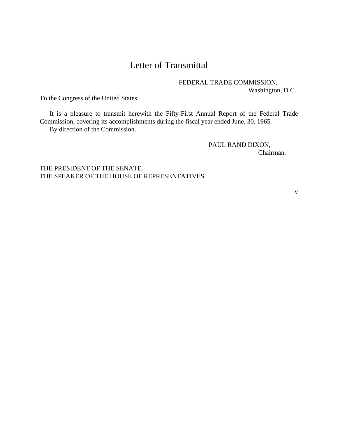## Letter of Transmittal

FEDERAL TRADE COMMISSION, Washington, D.C.

To the Congress of the United States:

It is a pleasure to transmit herewith the Fifty-First Annual Report of the Federal Trade Commission, covering its accomplishments during the fiscal year ended June, 30, 1965. By direction of the Commission.

> PAUL RAND DIXON, Chairman.

THE PRESIDENT OF THE SENATE. THE SPEAKER OF THE HOUSE OF REPRESENTATIVES.

v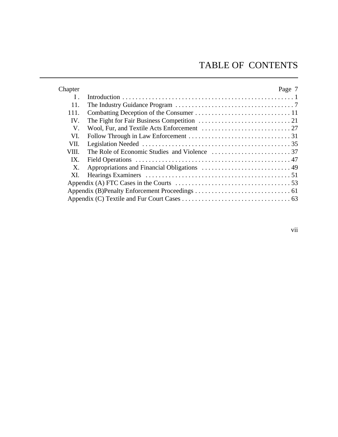## TABLE OF CONTENTS

| Chapter      | Page 7 |
|--------------|--------|
| $\mathbf{I}$ |        |
| 11.          |        |
| 111.         |        |
| IV.          |        |
| V.           |        |
| VI.          |        |
| VII.         |        |
| VIII.        |        |
| $IX_{-}$     |        |
| $X_{\cdot}$  |        |
| XI.          |        |
|              |        |
|              |        |
|              |        |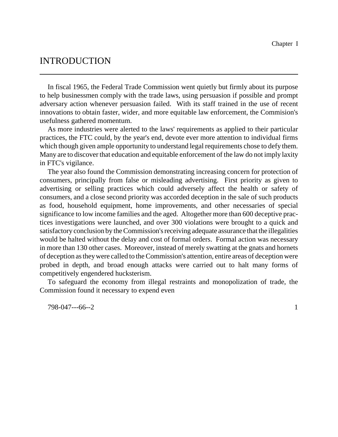## INTRODUCTION

In fiscal 1965, the Federal Trade Commission went quietly but firmly about its purpose to help businessmen comply with the trade laws, using persuasion if possible and prompt adversary action whenever persuasion failed. With its staff trained in the use of recent innovations to obtain faster, wider, and more equitable law enforcement, the Commision's usefulness gathered momentum.

As more industries were alerted to the laws' requirements as applied to their particular practices, the FTC could, by the year's end, devote ever more attention to individual firms which though given ample opportunity to understand legal requirements chose to defy them. Many are to discover that education and equitable enforcement of the law do not imply laxity in FTC's vigilance.

The year also found the Commission demonstrating increasing concern for protection of consumers, principally from false or misleading advertising. First priority as given to advertising or selling practices which could adversely affect the health or safety of consumers, and a close second priority was accorded deception in the sale of such products as food, household equipment, home improvements, and other necessaries of special significance to low income families and the aged. Altogether more than 600 deceptive practices investigations were launched, and over 300 violations were brought to a quick and satisfactory conclusion by the Commission's receiving adequate assurance that the illegalities would be halted without the delay and cost of formal orders. Formal action was necessary in more than 130 other cases. Moreover, instead of merely swatting at the gnats and hornets of deception astheywere called to theCommission's attention, entire areas of deception were probed in depth, and broad enough attacks were carried out to halt many forms of competitively engendered hucksterism.

To safeguard the economy from illegal restraints and monopolization of trade, the Commission found it necessary to expend even

798-047---66--2 1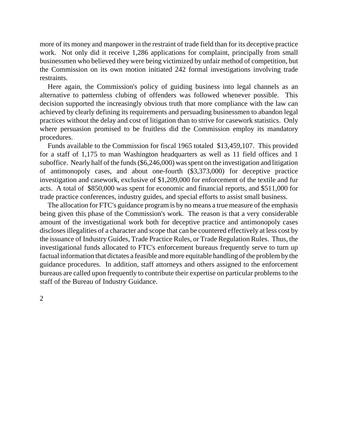more of its money and manpower in the restraint of trade field than for its deceptive practice work. Not only did it receive 1,286 applications for complaint, principally from small businessmen who believed they were being victimized by unfair method of competition, but the Commission on its own motion initiated 242 formal investigations involving trade restraints.

Here again, the Commission's policy of guiding business into legal channels as an alternative to patternless clubing of offenders was followed whenever possible. This decision supported the increasingly obvious truth that more compliance with the law can achieved by clearly defining its requirements and persuading businessmen to abandon legal practices without the delay and cost of litigation than to strive for casework statistics. Only where persuasion promised to be fruitless did the Commission employ its mandatory procedures.

Funds available to the Commission for fiscal 1965 totaled \$13,459,107. This provided for a staff of 1,175 to man Washington headquarters as well as 11 field offices and 1 suboffice. Nearly half of the funds (\$6,246,000) was spent on the investigation and litigation of antimonopoly cases, and about one-fourth (\$3,373,000) for deceptive practice investigation and casework, exclusive of \$1,209,000 for enforcement of the textile and fur acts. A total of \$850,000 was spent for economic and financial reports, and \$511,000 for trade practice conferences, industry guides, and special efforts to assist small business.

The allocation for FTC's guidance program is by no means a true measure of the emphasis being given this phase of the Commission's work. The reason is that a very considerable amount of the investigational work both for deceptive practice and antimonopoly cases disclosesillegalities of a character and scope that can be countered effectively at less cost by the issuance of Industry Guides, Trade Practice Rules, or Trade Regulation Rules. Thus, the investigational funds allocated to FTC's enforcement bureaus frequently serve to turn up factual information that dictates a feasible and more equitable handling of the problem by the guidance procedures. In addition, staff attorneys and others assigned to the enforcement bureaus are called upon frequently to contribute their expertise on particular problems to the staff of the Bureau of Industry Guidance.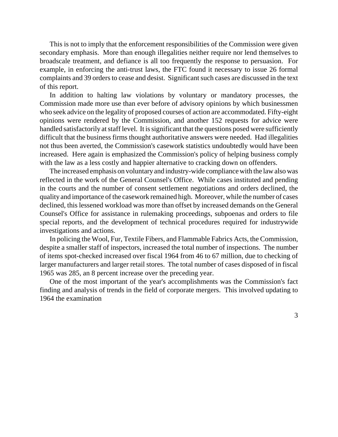This is not to imply that the enforcement responsibilities of the Commission were given secondary emphasis. More than enough illegalities neither require nor lend themselves to broadscale treatment, and defiance is all too frequently the response to persuasion. For example, in enforcing the anti-trust laws, the FTC found it necessary to issue 26 formal complaints and 39 orders to cease and desist. Significant such cases are discussed in the text of this report.

In addition to halting law violations by voluntary or mandatory processes, the Commission made more use than ever before of advisory opinions by which businessmen who seek advice on the legality of proposed courses of action are accommodated. Fifty-eight opinions were rendered by the Commission, and another 152 requests for advice were handled satisfactorily at staff level. It is significant that the questions posed were sufficiently difficult that the business firms thought authoritative answers were needed. Had illegalities not thus been averted, the Commission's casework statistics undoubtedly would have been increased. Here again is emphasized the Commission's policy of helping business comply with the law as a less costly and happier alternative to cracking down on offenders.

The increased emphasis on voluntaryand industry-wide compliance with the law also was reflected in the work of the General Counsel's Office. While cases instituted and pending in the courts and the number of consent settlement negotiations and orders declined, the quality and importance of the casework remained high. Moreover, while the number of cases declined, this lessened workload was more than offset by increased demands on the General Counsel's Office for assistance in rulemaking proceedings, subpoenas and orders to file special reports, and the development of technical procedures required for industrywide investigations and actions.

In policing the Wool, Fur, Textile Fibers, and Flammable Fabrics Acts, the Commission, despite a smaller staff of inspectors, increased the total number of inspections. The number of items spot-checked increased over fiscal 1964 from 46 to 67 million, due to checking of larger manufacturers and larger retail stores. The total number of cases disposed of in fiscal 1965 was 285, an 8 percent increase over the preceding year.

One of the most important of the year's accomplishments was the Commission's fact finding and analysis of trends in the field of corporate mergers. This involved updating to 1964 the examination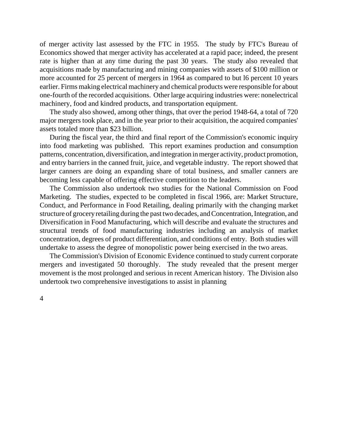of merger activity last assessed by the FTC in 1955. The study by FTC's Bureau of Economics showed that merger activity has accelerated at a rapid pace; indeed, the present rate is higher than at any time during the past 30 years. The study also revealed that acquisitions made by manufacturing and mining companies with assets of \$100 million or more accounted for 25 percent of mergers in 1964 as compared to but 16 percent 10 years earlier. Firms making electrical machinery and chemical products were responsible for about one-fourth of the recorded acquisitions. Other large acquiring industries were: nonelectrical machinery, food and kindred products, and transportation equipment.

The study also showed, among other things, that over the period 1948-64, a total of 720 major mergers took place, and in the year prior to their acquisition, the acquired companies' assets totaled more than \$23 billion.

During the fiscal year, the third and final report of the Commission's economic inquiry into food marketing was published. This report examines production and consumption patterns, concentration, diversification, and integration in merger activity, product promotion, and entry barriers in the canned fruit, juice, and vegetable industry. The report showed that larger canners are doing an expanding share of total business, and smaller canners are becoming less capable of offering effective competition to the leaders.

The Commission also undertook two studies for the National Commission on Food Marketing. The studies, expected to be completed in fiscal 1966, are: Market Structure, Conduct, and Performance in Food Retailing, dealing primarily with the changing market structure of grocery retailing during the past two decades, and Concentration, Integration, and Diversification in Food Manufacturing, which will describe and evaluate the structures and structural trends of food manufacturing industries including an analysis of market concentration, degrees of product differentiation, and conditions of entry. Both studies will undertake to assess the degree of monopolistic power being exercised in the two areas.

The Commission's Division of Economic Evidence continued to study current corporate mergers and investigated 50 thoroughly. The study revealed that the present merger movement is the most prolonged and serious in recent American history. The Division also undertook two comprehensive investigations to assist in planning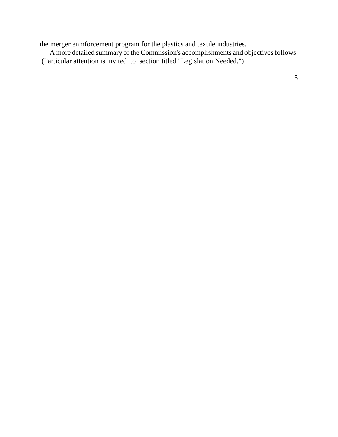the merger enmforcement program for the plastics and textile industries.

A more detailed summary of the Comniission's accomplishments and objectives follows. (Particular attention is invited to section titled "Legislation Needed.")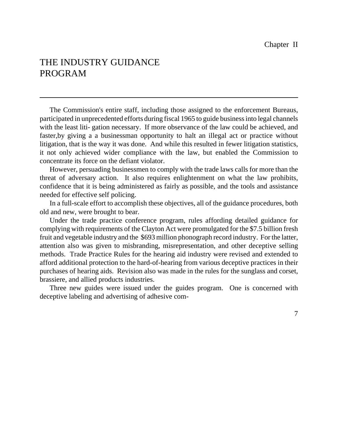## THE INDUSTRY GUIDANCE PROGRAM

The Commission's entire staff, including those assigned to the enforcement Bureaus, participated in unprecedented efforts during fiscal 1965 to guide businessinto legal channels with the least liti- gation necessary. If more observance of the law could be achieved, and faster,by giving a a businessman opportunity to halt an illegal act or practice without litigation, that is the way it was done. And while this resulted in fewer litigation statistics, it not only achieved wider compliance with the law, but enabled the Commission to concentrate its force on the defiant violator.

However, persuading businessmen to comply with the trade laws calls for more than the threat of adversary action. It also requires enlightenment on what the law prohibits, confidence that it is being administered as fairly as possible, and the tools and assistance needed for effective self policing.

In a full-scale effort to accomplish these objectives, all of the guidance procedures, both old and new, were brought to bear.

Under the trade practice conference program, rules affording detailed guidance for complying with requirements of the Clayton Act were promulgated for the \$7.5 billion fresh fruit and vegetable industry and the \$693 million phonograph record industry. For the latter, attention also was given to misbranding, misrepresentation, and other deceptive selling methods. Trade Practice Rules for the hearing aid industry were revised and extended to afford additional protection to the hard-of-hearing from various deceptive practices in their purchases of hearing aids. Revision also was made in the rules for the sunglass and corset, brassiere, and allied products industries.

Three new guides were issued under the guides program. One is concerned with deceptive labeling and advertising of adhesive com-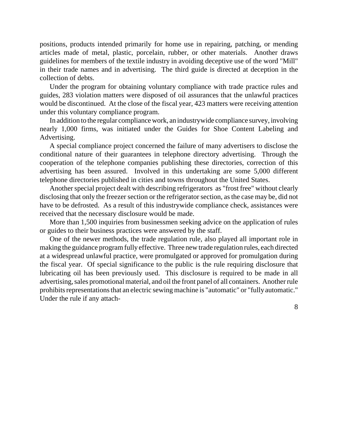positions, products intended primarily for home use in repairing, patching, or mending articles made of metal, plastic, porcelain, rubber, or other materials. Another draws guidelines for members of the textile industry in avoiding deceptive use of the word "Mill" in their trade names and in advertising. The third guide is directed at deception in the collection of debts.

Under the program for obtaining voluntary compliance with trade practice rules and guides, 283 violation matters were disposed of oil assurances that the unlawful practices would be discontinued. At the close of the fiscal year, 423 matters were receiving attention under this voluntary compliance program.

In addition to the regular compliance work, an industrywide compliance survey, involving nearly 1,000 firms, was initiated under the Guides for Shoe Content Labeling and Advertising.

A special compliance project concerned the failure of many advertisers to disclose the conditional nature of their guarantees in telephone directory advertising. Through the cooperation of the telephone companies publishing these directories, correction of this advertising has been assured. Involved in this undertaking are some 5,000 different telephone directories published in cities and towns throughout the United States.

Another special project dealt with describing refrigerators as "frost free" without clearly disclosing that only the freezer section or the refrigerator section, as the case may be, did not have to be defrosted. As a result of this industrywide compliance check, assistances were received that the necessary disclosure would be made.

More than 1,500 inquiries from businessmen seeking advice on the application of rules or guides to their business practices were answered by the staff.

One of the newer methods, the trade regulation rule, also played all important role in making the guidance programfully effective. Three new trade regulation rules, each directed at a widespread unlawful practice, were promulgated or approved for promulgation during the fiscal year. Of special significance to the public is the rule requiring disclosure that lubricating oil has been previously used. This disclosure is required to be made in all advertising, sales promotional material, and oil the front panel of all containers. Another rule prohibits representations that an electric sewing machine is "automatic" or "fully automatic." Under the rule if any attach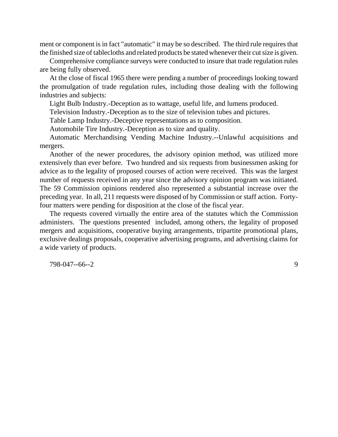ment or component is in fact "automatic" it may be so described. The third rule requires that the finished size of tablecloths and related products be stated whenever their cut size is given.

Comprehensive compliance surveys were conducted to insure that trade regulation rules are being fully observed.

At the close of fiscal 1965 there were pending a number of proceedings looking toward the promulgation of trade regulation rules, including those dealing with the following industries and subjects:

Light Bulb Industry.-Deception as to wattage, useful life, and lumens produced.

Television Industry.-Deception as to the size of television tubes and pictures.

Table Lamp Industry.-Deceptive representations as to composition.

Automobile Tire Industry.-Deception as to size and quality.

Automatic Merchandising Vending Machine Industry.--Unlawful acquisitions and mergers.

Another of the newer procedures, the advisory opinion method, was utilized more extensively than ever before. Two hundred and six requests from businessmen asking for advice as to the legality of proposed courses of action were received. This was the largest number of requests received in any year since the advisory opinion program was initiated. The 59 Commission opinions rendered also represented a substantial increase over the preceding year. In all, 211 requests were disposed of by Commission or staff action. Fortyfour matters were pending for disposition at the close of the fiscal year.

The requests covered virtually the entire area of the statutes which the Commission administers. The questions presented included, among others, the legality of proposed mergers and acquisitions, cooperative buying arrangements, tripartite promotional plans, exclusive dealings proposals, cooperative advertising programs, and advertising claims for a wide variety of products.

798-047--66--2 9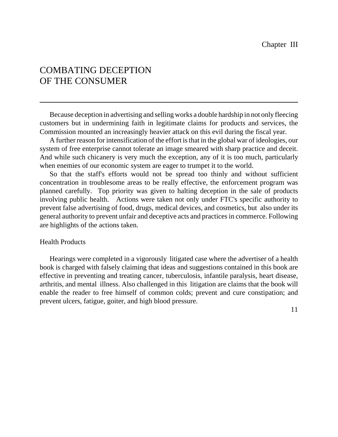## COMBATING DECEPTION OF THE CONSUMER

Because deception in advertising and selling works a double hardship in not only fleecing customers but in undermining faith in legitimate claims for products and services, the Commission mounted an increasingly heavier attack on this evil during the fiscal year.

A further reason for intensification of the effort is that in the global war of ideologies, our system of free enterprise cannot tolerate an image smeared with sharp practice and deceit. And while such chicanery is very much the exception, any of it is too much, particularly when enemies of our economic system are eager to trumpet it to the world.

So that the staff's efforts would not be spread too thinly and without sufficient concentration in troublesome areas to be really effective, the enforcement program was planned carefully. Top priority was given to halting deception in the sale of products involving public health. Actions were taken not only under FTC's specific authority to prevent false advertising of food, drugs, medical devices, and cosmetics, but also under its general authority to prevent unfair and deceptive acts and practices in commerce. Following are highlights of the actions taken.

#### Health Products

Hearings were completed in a vigorously litigated case where the advertiser of a health book is charged with falsely claiming that ideas and suggestions contained in this book are effective in preventing and treating cancer, tuberculosis, infantile paralysis, heart disease, arthritis, and mental illness. Also challenged in this litigation are claims that the book will enable the reader to free himself of common colds; prevent and cure constipation; and prevent ulcers, fatigue, goiter, and high blood pressure.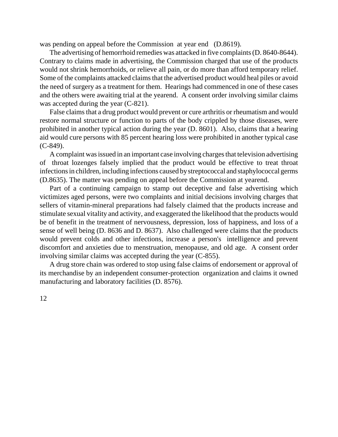was pending on appeal before the Commission at year end (D.8619).

The advertising of hemorrhoid remedies was attacked in five complaints(D. 8640-8644). Contrary to claims made in advertising, the Commission charged that use of the products would not shrink hemorrhoids, or relieve all pain, or do more than afford temporary relief. Some of the complaints attacked claims that the advertised product would heal piles or avoid the need of surgery as a treatment for them. Hearings had commenced in one of these cases and the others were awaiting trial at the yearend. A consent order involving similar claims was accepted during the year  $(C-821)$ .

False claims that a drug product would prevent or cure arthritis or rheumatism and would restore normal structure or function to parts of the body crippled by those diseases, were prohibited in another typical action during the year (D. 8601). Also, claims that a hearing aid would cure persons with 85 percent hearing loss were prohibited in another typical case (C-849).

A complaint was issued in an important case involving charges that television advertising of throat lozenges falsely implied that the product would be effective to treat throat infections in children, including infections caused by streptococcal and staphylococcal germs (D.8635). The matter was pending on appeal before the Commission at yearend.

Part of a continuing campaign to stamp out deceptive and false advertising which victimizes aged persons, were two complaints and initial decisions involving charges that sellers of vitamin-mineral preparations had falsely claimed that the products increase and stimulate sexual vitality and activity, and exaggerated the likelihood that the products would be of benefit in the treatment of nervousness, depression, loss of happiness, and loss of a sense of well being (D. 8636 and D. 8637). Also challenged were claims that the products would prevent colds and other infections, increase a person's intelligence and prevent discomfort and anxieties due to menstruation, menopause, and old age. A consent order involving similar claims was accepted during the year (C-855).

A drug store chain was ordered to stop using false claims of endorsement or approval of its merchandise by an independent consumer-protection organization and claims it owned manufacturing and laboratory facilities (D. 8576).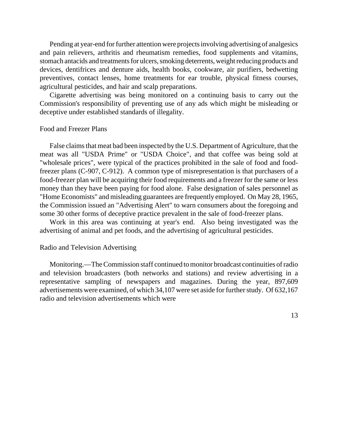Pending at year-end for further attention were projects involving advertising of analgesics and pain relievers, arthritis and rheumatism remedies, food supplements and vitamins, stomach antacids and treatments for ulcers, smoking deterrents, weight reducing products and devices, dentifrices and denture aids, health books, cookware, air purifiers, bedwetting preventives, contact lenses, home treatments for ear trouble, physical fitness courses, agricultural pesticides, and hair and scalp preparations.

Cigarette advertising was being monitored on a continuing basis to carry out the Commission's responsibility of preventing use of any ads which might be misleading or deceptive under established standards of illegality.

#### Food and Freezer Plans

False claims that meat bad been inspected by the U.S. Department of Agriculture, that the meat was all "USDA Prime" or "USDA Choice", and that coffee was being sold at "wholesale prices", were typical of the practices prohibited in the sale of food and foodfreezer plans (C-907, C-912). A common type of misrepresentation is that purchasers of a food-freezer plan will be acquiring their food requirements and a freezer for the same or less money than they have been paying for food alone. False designation of sales personnel as "Home Economists" and misleading guarantees are frequently employed. On May 28, 1965, the Commission issued an "Advertising Alert" to warn consumers about the foregoing and some 30 other forms of deceptive practice prevalent in the sale of food-freezer plans.

Work in this area was continuing at year's end. Also being investigated was the advertising of animal and pet foods, and the advertising of agricultural pesticides.

#### Radio and Television Advertising

Monitoring.—TheCommission staff continued to monitor broadcast continuities of radio and television broadcasters (both networks and stations) and review advertising in a representative sampling of newspapers and magazines. During the year, 897,609 advertisements were examined, of which 34,107 were set aside for further study. Of 632,167 radio and television advertisements which were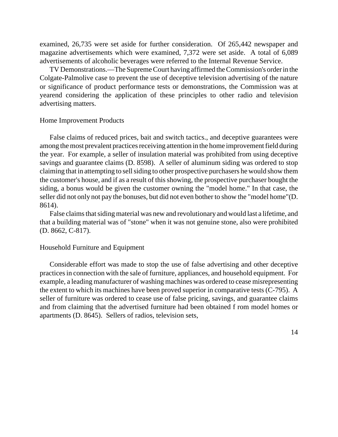examined, 26,735 were set aside for further consideration. Of 265,442 newspaper and magazine advertisements which were examined, 7,372 were set aside. A total of 6,089 advertisements of alcoholic beverages were referred to the Internal Revenue Service.

TV Demonstrations.—The SupremeCourt having affirmed the Commission's order in the Colgate-Palmolive case to prevent the use of deceptive television advertising of the nature or significance of product performance tests or demonstrations, the Commission was at yearend considering the application of these principles to other radio and television advertising matters.

#### Home Improvement Products

False claims of reduced prices, bait and switch tactics., and deceptive guarantees were among the most prevalent practices receiving attention in the home improvement field during the year. For example, a seller of insulation material was prohibited from using deceptive savings and guarantee claims (D. 8598). A seller of aluminum siding was ordered to stop claiming that in attempting to sellsiding to other prospective purchasers he would show them the customer's house, and if as a result of this showing, the prospective purchaser bought the siding, a bonus would be given the customer owning the "model home." In that case, the seller did not only not pay the bonuses, but did not even bother to show the "model home"(D. 8614).

False claims that siding material was new and revolutionary and would last a lifetime, and that a building material was of "stone" when it was not genuine stone, also were prohibited (D. 8662, C-817).

#### Household Furniture and Equipment

Considerable effort was made to stop the use of false advertising and other deceptive practicesin connection with the sale of furniture, appliances, and household equipment. For example, a leading manufacturer of washing machines was ordered to cease misrepresenting the extent to which its machines have been proved superior in comparative tests (C-795). A seller of furniture was ordered to cease use of false pricing, savings, and guarantee claims and from claiming that the advertised furniture had been obtained f rom model homes or apartments (D. 8645). Sellers of radios, television sets,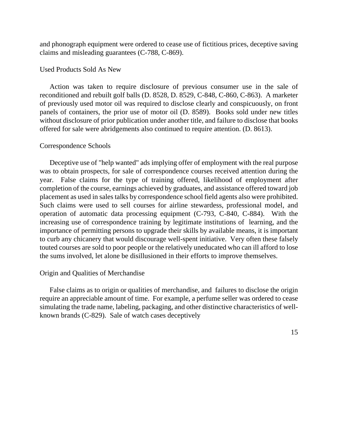and phonograph equipment were ordered to cease use of fictitious prices, deceptive saving claims and misleading guarantees (C-788, C-869).

#### Used Products Sold As New

Action was taken to require disclosure of previous consumer use in the sale of reconditioned and rebuilt golf balls (D. 8528, D. 8529, C-848, C-860, C-863). A marketer of previously used motor oil was required to disclose clearly and conspicuously, on front panels of containers, the prior use of motor oil (D. 8589). Books sold under new titles without disclosure of prior publication under another title, and failure to disclose that books offered for sale were abridgements also continued to require attention. (D. 8613).

#### Correspondence Schools

Deceptive use of "help wanted" ads implying offer of employment with the real purpose was to obtain prospects, for sale of correspondence courses received attention during the year. False claims for the type of training offered, likelihood of employment after completion of the course, earnings achieved by graduates, and assistance offered toward job placement as used in sales talks by correspondence school field agents also were prohibited. Such claims were used to sell courses for airline stewardess, professional model, and operation of automatic data processing equipment (C-793, C-840, C-884). With the increasing use of correspondence training by legitimate institutions of learning, and the importance of permitting persons to upgrade their skills by available means, it is important to curb any chicanery that would discourage well-spent initiative. Very often these falsely touted courses are sold to poor people or the relatively uneducated who can ill afford to lose the sums involved, let alone be disillusioned in their efforts to improve themselves.

#### Origin and Qualities of Merchandise

False claims as to origin or qualities of merchandise, and failures to disclose the origin require an appreciable amount of time. For example, a perfume seller was ordered to cease simulating the trade name, labeling, packaging, and other distinctive characteristics of wellknown brands (C-829). Sale of watch cases deceptively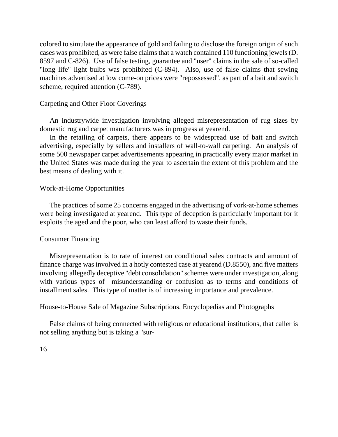colored to simulate the appearance of gold and failing to disclose the foreign origin of such cases was prohibited, as were false claims that a watch contained 110 functioning jewels (D. 8597 and C-826). Use of false testing, guarantee and "user" claims in the sale of so-called "long life" light bulbs was prohibited (C-894). Also, use of false claims that sewing machines advertised at low come-on prices were "repossessed", as part of a bait and switch scheme, required attention (C-789).

#### Carpeting and Other Floor Coverings

An industrywide investigation involving alleged misrepresentation of rug sizes by domestic rug and carpet manufacturers was in progress at yearend.

In the retailing of carpets, there appears to be widespread use of bait and switch advertising, especially by sellers and installers of wall-to-wall carpeting. An analysis of some 500 newspaper carpet advertisements appearing in practically every major market in the United States was made during the year to ascertain the extent of this problem and the best means of dealing with it.

#### Work-at-Home Opportunities

The practices of some 25 concerns engaged in the advertising of vork-at-home schemes were being investigated at yearend. This type of deception is particularly important for it exploits the aged and the poor, who can least afford to waste their funds.

#### Consumer Financing

Misrepresentation is to rate of interest on conditional sales contracts and amount of finance charge was involved in a hotly contested case at yearend (D.8550), and five matters involving allegedly deceptive "debt consolidation" schemes were under investigation, along with various types of misunderstanding or confusion as to terms and conditions of installment sales. This type of matter is of increasing importance and prevalence.

House-to-House Sale of Magazine Subscriptions, Encyclopedias and Photographs

False claims of being connected with religious or educational institutions, that caller is not selling anything but is taking a "sur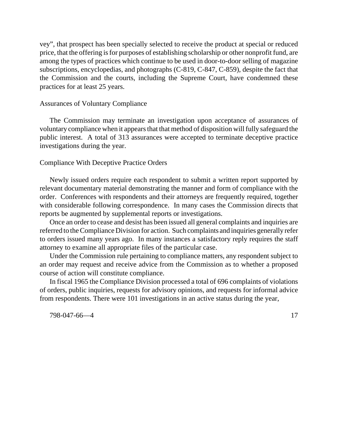vey", that prospect has been specially selected to receive the product at special or reduced price, that the offering isfor purposes of establishing scholarship or other nonprofit fund, are among the types of practices which continue to be used in door-to-door selling of magazine subscriptions, encyclopedias, and photographs (C-819, C-847, C-859), despite the fact that the Commission and the courts, including the Supreme Court, have condemned these practices for at least 25 years.

#### Assurances of Voluntary Compliance

The Commission may terminate an investigation upon acceptance of assurances of voluntary compliance when it appears that that method of disposition will fully safeguard the public interest. A total of 313 assurances were accepted to terminate deceptive practice investigations during the year.

#### Compliance With Deceptive Practice Orders

Newly issued orders require each respondent to submit a written report supported by relevant documentary material demonstrating the manner and form of compliance with the order. Conferences with respondents and their attorneys are frequently required, together with considerable following correspondence. In many cases the Commission directs that reports be augmented by supplemental reports or investigations.

Once an order to cease and desist has been issued all general complaints and inquiries are referred to theCompliance Division for action. Such complaints and inquiries generally refer to orders issued many years ago. In many instances a satisfactory reply requires the staff attorney to examine all appropriate files of the particular case.

Under the Commission rule pertaining to compliance matters, any respondent subject to an order may request and receive advice from the Commission as to whether a proposed course of action will constitute compliance.

In fiscal 1965 the Compliance Division processed a total of 696 complaints of violations of orders, public inquiries, requests for advisory opinions, and requests for informal advice from respondents. There were 101 investigations in an active status during the year,

798-047-66—4 17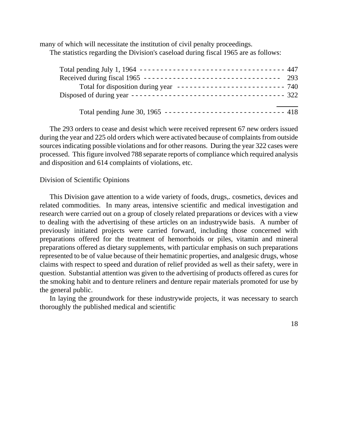many of which will necessitate the institution of civil penalty proceedings. The statistics regarding the Division's caseload during fiscal 1965 are as follows:

| Total pending July 1, 1964 ---------------------------------- 447<br>Received during fiscal 1965 ----------------------------------- 293 |
|------------------------------------------------------------------------------------------------------------------------------------------|
| Total pending June 30, 1965 ----------------------------- 418                                                                            |

The 293 orders to cease and desist which were received represent 67 new orders issued during the year and 225 old orders which were activated because of complaints from outside sources indicating possible violations and for other reasons. During the year 322 cases were processed. This figure involved 788 separate reports of compliance which required analysis and disposition and 614 complaints of violations, etc.

#### Division of Scientific Opinions

This Division gave attention to a wide variety of foods, drugs,. cosmetics, devices and related commodities. In many areas, intensive scientific and medical investigation and research were carried out on a group of closely related preparations or devices with a view to dealing with the advertising of these articles on an industrywide basis. A number of previously initiated projects were carried forward, including those concerned with preparations offered for the treatment of hemorrhoids or piles, vitamin and mineral preparations offered as dietary supplements, with particular emphasis on such preparations represented to be of value because of their hematinic properties, and analgesic drugs, whose claims with respect to speed and duration of relief provided as well as their safety, were in question. Substantial attention was given to the advertising of products offered as cures for the smoking habit and to denture reliners and denture repair materials promoted for use by the general public.

In laying the groundwork for these industrywide projects, it was necessary to search thoroughly the published medical and scientific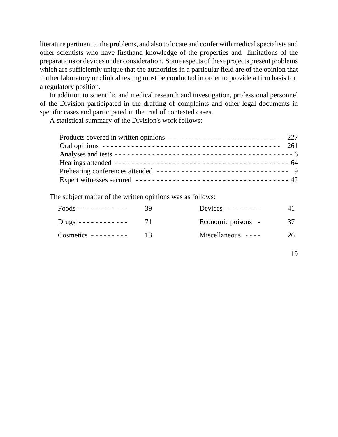literature pertinent to the problems, and also to locate and confer with medical specialists and other scientists who have firsthand knowledge of the properties and limitations of the preparations or devices under consideration. Some aspects of these projects present problems which are sufficiently unique that the authorities in a particular field are of the opinion that further laboratory or clinical testing must be conducted in order to provide a firm basis for, a regulatory position.

In addition to scientific and medical research and investigation, professional personnel of the Division participated in the drafting of complaints and other legal documents in specific cases and participated in the trial of contested cases.

A statistical summary of the Division's work follows:

| Products covered in written opinions -------------------------------- 227 |  |
|---------------------------------------------------------------------------|--|
|                                                                           |  |
|                                                                           |  |
|                                                                           |  |
| Prehearing conferences attended --------------------------------- 9       |  |
|                                                                           |  |

The subject matter of the written opinions was as follows:

| $Foods$ ------------ | 39 | Devices - - - - - - - - - |    |
|----------------------|----|---------------------------|----|
| Drugs -------------  |    | Economic poisons -        | 37 |
| $Cosmetics$ -------- |    | Miscellaneous $---$       | 26 |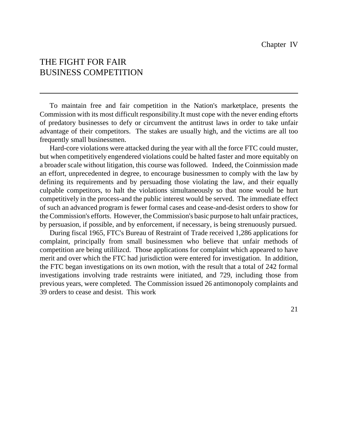## THE FIGHT FOR FAIR BUSINESS COMPETITION

To maintain free and fair competition in the Nation's marketplace, presents the Commission with its most difficult responsibility.It must cope with the never ending eftorts of predatory businesses to defy or circumvent the antitrust laws in order to take unfair advantage of their competitors. The stakes are usually high, and the victims are all too frequently small businessmen.

Hard-core violations were attacked during the year with all the force FTC could muster, but when competitively engendered violations could be halted faster and more equitably on a broader scale without litigation, this course was followed. Indeed, the Coinmission made an effort, unprecedented in degree, to encourage businessmen to comply with the law by defining its requirements and by persuading those violating the law, and their equally culpable competitors, to halt the violations simultaneously so that none would be hurt competitively in the process-and the public interest would be served. The immediate effect of such an advanced program is fewer formal cases and cease-and-desist orders to show for theCommission's efforts. However, the Commission's basic purpose to halt unfair practices, by persuasion, if possible, and by enforcement, if necessary, is being strenuously pursued.

During fiscal 1965, FTC's Bureau of Restraint of Trade received 1,286 applications for complaint, principally from small businessmen who believe that unfair methods of competition are being utililizcd. Those applications for complaint which appeared to have merit and over which the FTC had jurisdiction were entered for investigation. In addition, the FTC began investigations on its own motion, with the result that a total of 242 formal investigations involving trade restraints were initiated, and 729, including those from previous years, were completed. The Commission issued 26 antimonopoly complaints and 39 orders to cease and desist. This work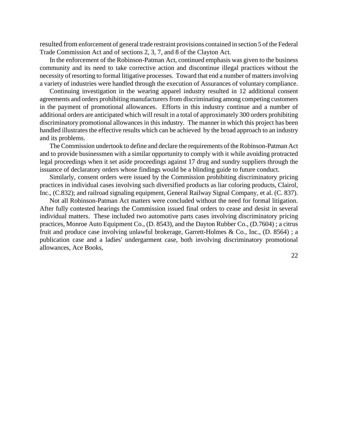resulted from enforcement of general trade restraint provisions contained in section 5 of the Federal Trade Commission Act and of sections 2, 3, 7, and 8 of the Clayton Act.

In the enforcement of the Robinson-Patman Act, continued emphasis was given to the business community and its need to take corrective action and discontinue illegal practices without the necessity of resorting to formal litigative processes. Toward that end a number of matters involving a variety of industries were handled through the execution of Assurances of voluntary compliance.

Continuing investigation in the wearing apparel industry resulted in 12 additional consent agreements and orders prohibiting manufacturers from discriminating among competing customers in the payment of promotional allowances. Efforts in this industry continue and a number of additional orders are anticipated which will result in a total of approximately 300 orders prohibiting discriminatory promotional allowances in this industry. The manner in which this project has been handled illustrates the effective results which can be achieved by the broad approach to an industry and its problems.

The Commission undertook to define and declare the requirements of the Robinson-Patman Act and to provide businessmen with a similar opportunity to comply with it while avoiding protracted legal proceedings when it set aside proceedings against 17 drug and sundry suppliers through the issuance of declaratory orders whose findings would be a blinding guide to future conduct.

Similarly, consent orders were issued by the Commission prohibiting discriminatory pricing practices in individual cases involving such diversified products as liar coloring products, Clairol, Inc., (C.832); and railroad signaling equipment, General Railway Signal Company, et al. (C. 837).

Not all Robinson-Patman Act matters were concluded without the need for formal litigation. After fully contested hearings the Commission issued final orders to cease and desist in several individual matters. These included two automotive parts cases involving discriminatory pricing practices, Monroe Auto Equipment Co., (D. 8543), and the Dayton Rubber Co., (D.7604) ; a citrus fruit and produce case involving unlawful brokerage, Garrett-Holmes & Co., Inc., (D. 8564) ; a publication case and a ladies' undergarment case, both involving discriminatory promotional allowances, Ace Books,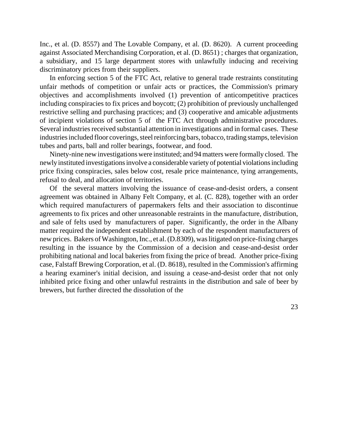Inc., et al. (D. 8557) and The Lovable Company, et al. (D. 8620). A current proceeding against Associated Merchandising Corporation, et al. (D. 8651) ; charges that organization, a subsidiary, and 15 large department stores with unlawfully inducing and receiving discriminatory prices from their suppliers.

In enforcing section 5 of the FTC Act, relative to general trade restraints constituting unfair methods of competition or unfair acts or practices, the Commission's primary objectives and accomplishments involved (1) prevention of anticompetitive practices including conspiracies to fix prices and boycott; (2) prohibition of previously unchallenged restrictive selling and purchasing practices; and (3) cooperative and amicable adjustments of incipient violations of section 5 of the FTC Act through administrative procedures. Several industries received substantial attention in investigations and in formal cases. These industries included floor coverings, steel reinforcing bars, tobacco, trading stamps, television tubes and parts, ball and roller bearings, footwear, and food.

Ninety-nine new investigations were instituted; and 94 matters were formally closed. The newlyinstituted investigations involve a considerable variety of potential violations including price fixing conspiracies, sales below cost, resale price maintenance, tying arrangements, refusal to deal, and allocation of territories.

Of the several matters involving the issuance of cease-and-desist orders, a consent agreement was obtained in Albany Felt Company, et al. (C. 828), together with an order which required manufacturers of papermakers felts and their association to discontinue agreements to fix prices and other unreasonable restraints in the manufacture, distribution, and sale of felts used by manufacturers of paper. Significantly, the order in the Albany matter required the independent establishment by each of the respondent manufacturers of new prices. Bakers of Washington, Inc., et al. (D.8309), was litigated on price-fixing charges resulting in the issuance by the Commission of a decision and cease-and-desist order prohibiting national and local bakeries from fixing the price of bread. Another price-fixing case, Falstaff Brewing Corporation, et al. (D. 8618), resulted in the Commission's affirming a hearing examiner's initial decision, and issuing a cease-and-desist order that not only inhibited price fixing and other unlawful restraints in the distribution and sale of beer by brewers, but further directed the dissolution of the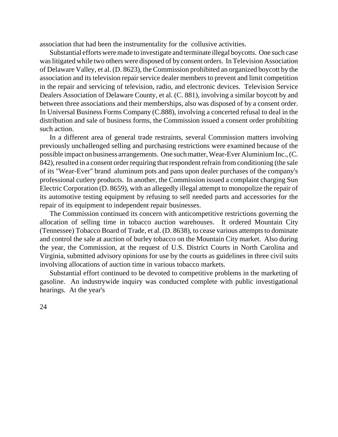association that had been the instrumentality for the collusive activities.

Substantial efforts were made to investigate and terminate illegal boycotts. One such case waslitigated while two others were disposed of by consent orders. In Television Association of Delaware Valley, et al. (D. 8623), the Commission prohibited an organized boycott by the association and its television repair service dealer members to prevent and limit competition in the repair and servicing of television, radio, and electronic devices. Television Service Dealers Association of Delaware County, et al. (C. 881), involving a similar boycott by and between three associations and their memberships, also was disposed of by a consent order. In Universal Business Forms Company (C.888), involving a concerted refusal to deal in the distribution and sale of business forms, the Commission issued a consent order prohibiting such action.

In a different area of general trade restraints, several Commission matters involving previously unchallenged selling and purchasing restrictions were examined because of the possible impact on business arrangements. One such matter, Wear-Ever Aluminium Inc., (C. 842), resulted in a consent order requiring that respondent refrain from conditioning (the sale of its "Wear-Ever" brand aluminum pots and pans upon dealer purchases of the company's professional cutlery products. In another, the Commission issued a complaint charging Sun Electric Corporation (D. 8659), with an allegedly illegal attempt to monopolize the repair of its automotive testing equipment by refusing to sell needed parts and accessories for the repair of its equipment to independent repair businesses.

The Commission continued its concern with anticompetitive restrictions governing the allocation of selling time in tobacco auction warehouses. It ordered Mountain City (Tennessee) Tobacco Board of Trade, et al. (D. 8638), to cease various attempts to dominate and control the sale at auction of burley tobacco on the Mountain City market. Also during the year, the Commission, at the request of U.S. District Courts in North Carolina and Virginia, submitted advisory opinions for use by the courts as guidelines in three civil suits involving allocations of auction time in various tobacco markets.

Substantial effort continued to be devoted to competitive problems in the marketing of gasoline. An industrywide inquiry was conducted complete with public investigational hearings. At the year's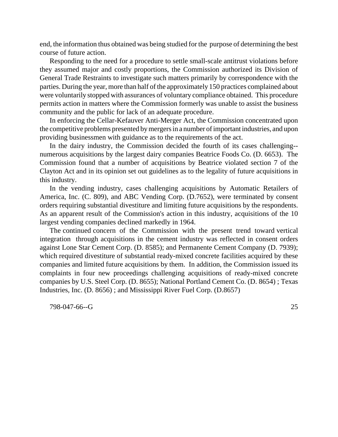end, the information thus obtained was being studied for the purpose of determining the best course of future action.

Responding to the need for a procedure to settle small-scale antitrust violations before they assumed major and costly proportions, the Commission authorized its Division of General Trade Restraints to investigate such matters primarily by correspondence with the parties. During the year, more than half of the approximately 150 practices complained about were voluntarily stopped with assurances of voluntary compliance obtained. This procedure permits action in matters where the Commission formerly was unable to assist the business community and the public for lack of an adequate procedure.

In enforcing the Cellar-Kefauver Anti-Merger Act, the Commission concentrated upon the competitive problems presented by mergers in a number of important industries, and upon providing businessmen with guidance as to the requirements of the act.

In the dairy industry, the Commission decided the fourth of its cases challenging- numerous acquisitions by the largest dairy companies Beatrice Foods Co. (D. 6653). The Commission found that a number of acquisitions by Beatrice violated section 7 of the Clayton Act and in its opinion set out guidelines as to the legality of future acquisitions in this industry.

In the vending industry, cases challenging acquisitions by Automatic Retailers of America, Inc. (C. 809), and ABC Vending Corp. (D.7652), were terminated by consent orders requiring substantial divestiture and limiting future acquisitions by the respondents. As an apparent result of the Commission's action in this industry, acquisitions of the 10 largest vending companies declined markedly in 1964.

The continued concern of the Commission with the present trend toward vertical integration through acquisitions in the cement industry was reflected in consent orders against Lone Star Cement Corp. (D. 8585); and Permanente Cement Company (D. 7939); which required divestiture of substantial ready-mixed concrete facilities acquired by these companies and limited future acquisitions by them. In addition, the Commission issued its complaints in four new proceedings challenging acquisitions of ready-mixed concrete companies by U.S. Steel Corp. (D. 8655); National Portland Cement Co. (D. 8654) ; Texas Industries, Inc. (D. 8656) ; and Mississippi River Fuel Corp. (D.8657)

798-047-66--G 25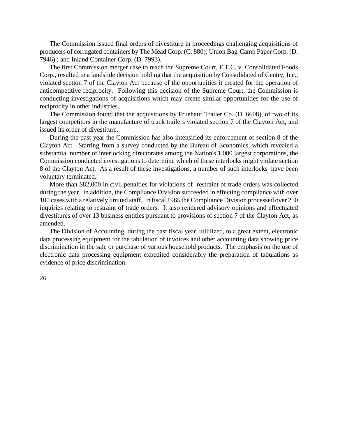The Commission issued final orders of divestiture in proceedings challenging acquisitions of producers of corrugated containers by The Mead Corp. (C. 880); Union Bag-Camp Paper Corp. (D. 7946) ; and Inland Container Corp. (D. 7993).

The first Commission merger case to reach the Supreme Court, F.T.C. v. Consolidated Foods Corp., resulted in a landslide decision holding that the acquisition by Consolidated of Gentry, Inc., violated section 7 of the Clayton Act because of the opportunities it created for the operation of anticompetitive reciprocity. Following this decision of the Supreme Court, the Commission is conducting investigations of acquisitions which may create similar opportunities for the use of reciprocity in other industries.

The Commission found that the acquisitions by Fruehauf Trailer Co. (D. 6608), of two of its largest competitors in the manufacture of truck trailers violated section 7 of the Clayton Act, and issued its order of divestiture.

During the past year the Commission has also intensified its enforcement of section 8 of the Clayton Act. Starting from a survey conducted by the Bureau of Economics, which revealed a substantial number of interlocking directorates among the Nation's 1,000 largest corporations, the Commission conducted investigations to determine which of these interlocks might violate section 8 of the Clayton Act. As a result of these investigations, a number of such interlocks have been voluntary terminated.

More than \$82,000 in civil penalties for violations of restraint of trade orders was collected during the year. In addition, the Compliance Division succeeded in effecting compliance with over 100 cases with a relatively limited staff. In fiscal 1965 the Compliance Division processed over 250 inquiries relating to restraint of trade orders. It also rendered advisory opinions and effectuated divestitures of over 13 business entities pursuant to provisions of section 7 of the Clayton Act, as amended.

The Division of Accounting, during the past fiscal year, utililized, to a great extent, electronic data processing equipment for the tabulation of invoices and other accounting data showing price discrimination in the sale or purchase of various household products. The emphasis on the use of electronic data processing equipment expedited considerably the preparation of tabulations as evidence of price discrimination.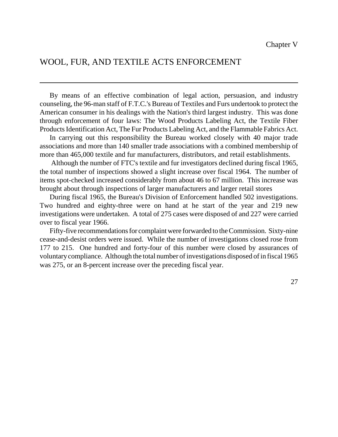## WOOL, FUR, AND TEXTILE ACTS ENFORCEMENT

By means of an effective combination of legal action, persuasion, and industry counseling, the 96-man staff of F.T.C.'s Bureau of Textiles and Furs undertook to protect the American consumer in his dealings with the Nation's third largest industry. This was done through enforcement of four laws: The Wood Products Labeling Act, the Textile Fiber Products Identification Act, The Fur Products Labeling Act, and the Flammable Fabrics Act.

In carrying out this responsibility the Bureau worked closely with 40 major trade associations and more than 140 smaller trade associations with a combined membership of more than 465,000 textile and fur manufacturers, distributors, and retail establishments.

Although the number of FTC's textile and fur investigators declined during fiscal 1965, the total number of inspections showed a slight increase over fiscal 1964. The number of items spot-checked increased considerably from about 46 to 67 million. This increase was brought about through inspections of larger manufacturers and larger retail stores

During fiscal 1965, the Bureau's Division of Enforcement handled 502 investigations. Two hundred and eighty-three were on hand at he start of the year and 219 new investigations were undertaken. A total of 275 cases were disposed of and 227 were carried over to fiscal year 1966.

Fifty-five recommendations for complaint were forwarded to the Commission. Sixty-nine cease-and-desist orders were issued. While the number of investigations closed rose from 177 to 215. One hundred and forty-four of this number were closed by assurances of voluntarycompliance. Although the total number of investigations disposed of in fiscal 1965 was 275, or an 8-percent increase over the preceding fiscal year.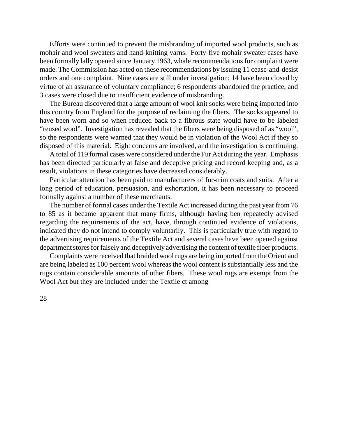Efforts were continued to prevent the misbranding of imported wool products, such as mohair and wool sweaters and hand-knitting yarns. Forty-five mohair sweater cases have been formally lally opened since January 1963, whale recommendations for complaint were made. The Commission has acted on these recommendations by issuing 11 cease-and-desist orders and one complaint. Nine cases are still under investigation; 14 have been closed by virtue of an assurance of voluntary compliance; 6 respondents abandoned the practice, and 3 cases were closed due to insufficient evidence of misbranding.

The Bureau discovered that a large amount of wool knit socks were being imported into this country from England for the purpose of reclaiming the fibers. The socks appeared to have been worn and so when reduced back to a fibrous state would have to be labeled "reused wool". Investigation has revealed that the fibers were being disposed of as "wool", so the respondents were warned that they would be in violation of the Wool Act if they so disposed of this material. Eight concerns are involved, and the investigation is continuing.

A total of 119 formal cases were considered under the Fur Act during the year. Emphasis has been directed particularly at false and deceptive pricing and record keeping and, as a result, violations in these categories have decreased considerably.

Particular attention has been paid to manufacturers of fur-trim coats and suits. After a long period of education, persuasion, and exhortation, it has been necessary to proceed formally against a number of these merchants.

The number of formal cases under the Textile Act increased during the past year from 76 to 85 as it became apparent that many firms, although having ben repeatedly advised regarding the requirements of the act, have, through continued evidence of violations, indicated they do not intend to comply voluntarily. This is particularly true with regard to the advertising requirements of the Textile Act and several cases have been opened against department stores for falsely and deceptively advertising the content of textile fiber products.

Complaints were received that braided wool rugs are being imported from the Orient and are being labeled as 100 percent wool whereas the wool content is substantially less and the rugs contain considerable amounts of other fibers. These wool rugs are exempt from the Wool Act but they are included under the Textile ct among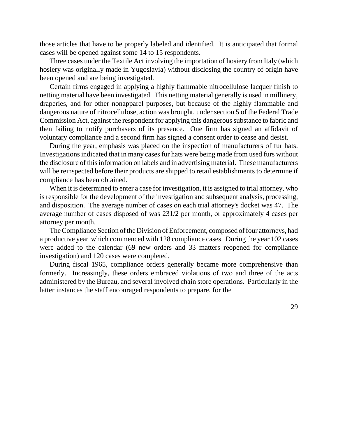those articles that have to be properly labeled and identified. It is anticipated that formal cases will be opened against some 14 to 15 respondents.

Three cases under the Textile Act involving the importation of hosiery from Italy (which hosiery was originally made in Yugoslavia) without disclosing the country of origin have been opened and are being investigated.

Certain firms engaged in applying a highly flammable nitrocellulose lacquer finish to netting material have been investigated. This netting material generally is used in millinery, draperies, and for other nonapparel purposes, but because of the highly flammable and dangerous nature of nitrocellulose, action was brought, under section 5 of the Federal Trade Commission Act, against the respondent for applying this dangeroussubstance to fabric and then failing to notify purchasers of its presence. One firm has signed an affidavit of voluntary compliance and a second firm has signed a consent order to cease and desist.

During the year, emphasis was placed on the inspection of manufacturers of fur hats. Investigations indicated that in many cases fur hats were being made from used furs without the disclosure of thisinformation on labels and in advertising material. These manufacturers will be reinspected before their products are shipped to retail establishments to determine if compliance has been obtained.

When it is determined to enter a case for investigation, it is assigned to trial attorney, who is responsible for the development of the investigation and subsequent analysis, processing, and disposition. The average number of cases on each trial attorney's docket was 47. The average number of cases disposed of was 231/2 per month, or approximately 4 cases per attorney per month.

The Compliance Section of the Division of Enforcement, composed of four attorneys, had a productive year which commenced with 128 compliance cases. During the year 102 cases were added to the calendar (69 new orders and 33 matters reopened for compliance investigation) and 120 cases were completed.

During fiscal 1965, compliance orders generally became more comprehensive than formerly. Increasingly, these orders embraced violations of two and three of the acts administered by the Bureau, and several involved chain store operations. Particularly in the latter instances the staff encouraged respondents to prepare, for the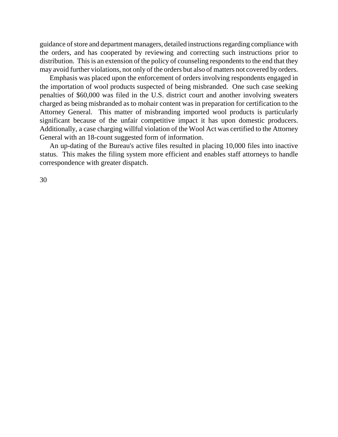guidance of store and department managers, detailed instructions regarding compliance with the orders, and has cooperated by reviewing and correcting such instructions prior to distribution. This is an extension of the policy of counseling respondents to the end that they may avoid further violations, not only of the orders but also of matters not covered by orders.

Emphasis was placed upon the enforcement of orders involving respondents engaged in the importation of wool products suspected of being misbranded. One such case seeking penalties of \$60,000 was filed in the U.S. district court and another involving sweaters charged as being misbranded as to mohair content was in preparation for certification to the Attorney General. This matter of misbranding imported wool products is particularly significant because of the unfair competitive impact it has upon domestic producers. Additionally, a case charging willful violation of the Wool Act was certified to the Attorney General with an 18-count suggested form of information.

An up-dating of the Bureau's active files resulted in placing 10,000 files into inactive status. This makes the filing system more efficient and enables staff attorneys to handle correspondence with greater dispatch.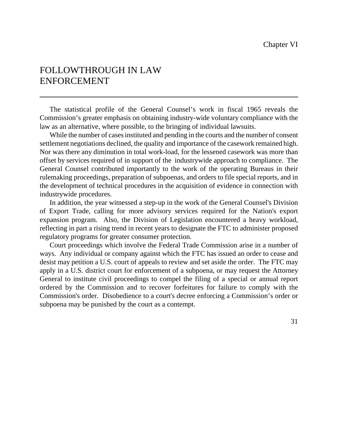## FOLLOWTHROUGH IN LAW ENFORCEMENT

The statistical profile of the General Counsel's work in fiscal 1965 reveals the Commission's greater emphasis on obtaining industry-wide voluntary compliance with the law as an alternative, where possible, to the bringing of individual lawsuits.

While the number of cases instituted and pending in the courts and the number of consent settlement negotiations declined, the quality and importance of the casework remained high. Nor was there any diminution in total work-load, for the lessened casework was more than offset by services required of in support of the industrywide approach to compliance. The General Counsel contributed importantly to the work of the operating Bureaus in their rulemaking proceedings, preparation of subpoenas, and orders to file special reports, and in the development of technical procedures in the acquisition of evidence in connection with industrywide procedures.

In addition, the year witnessed a step-up in the work of the General Counsel's Division of Export Trade, calling for more advisory services required for the Nation's export expansion program. Also, the Division of Legislation encountered a heavy workload, reflecting in part a rising trend in recent years to designate the FTC to administer proposed regulatory programs for greater consumer protection.

Court proceedings which involve the Federal Trade Commission arise in a number of ways. Any individual or company against which the FTC has issued an order to cease and desist may petition a U.S. court of appeals to review and set aside the order. The FTC may apply in a U.S. district court for enforcement of a subpoena, or may request the Attorney General to institute civil proceedings to compel the filing of a special or annual report ordered by the Commission and to recover forfeitures for failure to comply with the Commission's order. Disobedience to a court's decree enforcing a Commission's order or subpoena may be punished by the court as a contempt.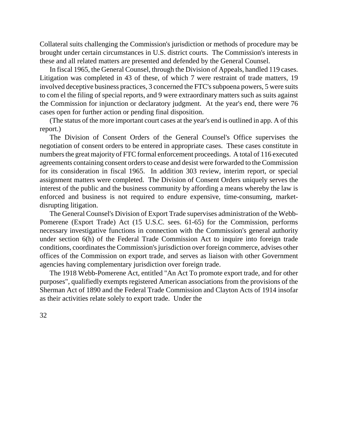Collateral suits challenging the Commission's jurisdiction or methods of procedure may be brought under certain circumstances in U.S. district courts. The Commission's interests in these and all related matters are presented and defended by the General Counsel.

In fiscal 1965, the General Counsel, through the Division of Appeals, handled 119 cases. Litigation was completed in 43 of these, of which 7 were restraint of trade matters, 19 involved deceptive business practices, 3 concerned the FTC's subpoena powers, 5 were suits to com el the filing of special reports, and 9 were extraordinary matters such as suits against the Commission for injunction or declaratory judgment. At the year's end, there were 76 cases open for further action or pending final disposition.

(The status of the more important court cases at the year's end is outlined in app. A of this report.)

The Division of Consent Orders of the General Counsel's Office supervises the negotiation of consent orders to be entered in appropriate cases. These cases constitute in numbers the great majority of FTC formal enforcement proceedings. A total of 116 executed agreements containing consent orders to cease and desist were forwarded to the Commission for its consideration in fiscal 1965. In addition 303 review, interim report, or special assignment matters were completed. The Division of Consent Orders uniquely serves the interest of the public and the business community by affording a means whereby the law is enforced and business is not required to endure expensive, time-consuming, marketdisrupting litigation.

The General Counsel's Division of Export Trade supervises administration of the Webb-Pomerene (Export Trade) Act (15 U.S.C. sees. 61-65) for the Commission, performs necessary investigative functions in connection with the Commission's general authority under section 6(h) of the Federal Trade Commission Act to inquire into foreign trade conditions, coordinates the Commission's jurisdiction over foreign commerce, advises other offices of the Commission on export trade, and serves as liaison with other Government agencies having complementary jurisdiction over foreign trade.

The 1918 Webb-Pomerene Act, entitled "An Act To promote export trade, and for other purposes", qualifiedly exempts registered American associations from the provisions of the Sherman Act of 1890 and the Federal Trade Commission and Clayton Acts of 1914 insofar as their activities relate solely to export trade. Under the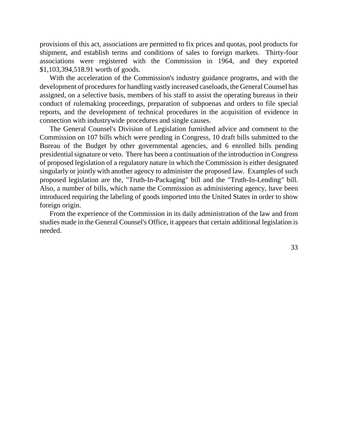provisions of this act, associations are permitted to fix prices and quotas, pool products for shipment, and establish terms and conditions of sales to foreign markets. Thirty-four associations were registered with the Commission in 1964, and they exported \$1,103,394,518.91 worth of goods.

With the acceleration of the Commission's industry guidance programs, and with the development of procedures for handling vastly increased caseloads, the General Counsel has assigned, on a selective basis, members of his staff to assist the operating bureaus in their conduct of rulemaking proceedings, preparation of subpoenas and orders to file special reports, and the development of technical procedures in the acquisition of evidence in connection with industrywide procedures and single causes.

The General Counsel's Division of Legislation furnished advice and comment to the Commission on 107 bills which were pending in Congress, 10 draft bills submitted to the Bureau of the Budget by other governmental agencies, and 6 enrolled bills pending presidential signature or veto. There has been a continuation of the introduction in Congress of proposed legislation of a regulatory nature in which the Commission is either designated singularly or jointly with another agency to administer the proposed law. Examples of such proposed legislation are the, "Truth-In-Packaging" bill and the "Truth-In-Lending" bill. Also, a number of bills, which name the Commission as administering agency, have been introduced requiring the labeling of goods imported into the United States in order to show foreign origin.

From the experience of the Commission in its daily administration of the law and from studies made in the General Counsel's Office, it appears that certain additional legislation is needed.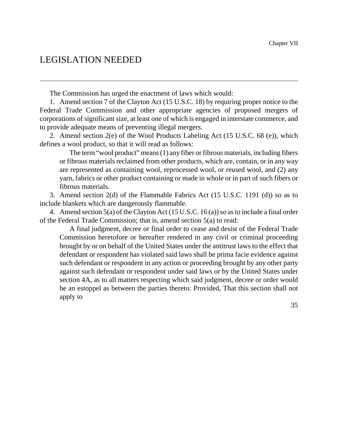## LEGISLATION NEEDED

The Commission has urged the enactment of laws which would:

1. Amend section 7 of the Clayton Act (15 U.S.C. 18) by requiring proper notice to the Federal Trade Commission and other appropriate agencies of proposed mergers of corporations of significant size, at least one of which is engaged in interstate commerce, and to provide adequate means of preventing illegal mergers.

2. Amend section 2(e) of the Wool Products Labeling Act (15 U.S.C. 68 (e)), which defines a wool product, so that it will read as follows:

The term "wool product" means (1) any fiber or fibrous materials, including fibers or fibrous materials reclaimed from other products, which are, contain, or in any way are represented as containing wool, reprocessed wool, or reused wool, and (2) any yarn, fabrics or other product containing or made in whole or in part of such fibers or fibrous materials.

3. Amend section 2(d) of the Flammable Fabrics Act (15 U.S.C. 1191 (d)) so as to include blankets which are dangerously flammable.

4. Amend section  $5(a)$  of the Clayton Act (15 U.S.C. 16(a)) so as to include a final order of the Federal Trade Commission; that is, amend section 5(a) to read:

A final judgment, decree or final order to cease and desist of the Federal Trade Commission heretofore or hereafter rendered in any civil or criminal proceeding brought by or on behalf of the United States under the antitrust laws to the effect that defendant or respondent has violated said laws shall be prima facie evidence against such defendant or respondent in any action or proceeding brought by any other party against such defendant or respondent under said laws or by the United States under section 4A, as to all matters respecting which said judgment, decree or order would be an estoppel as between the parties thereto: Provided, That this section shall not apply to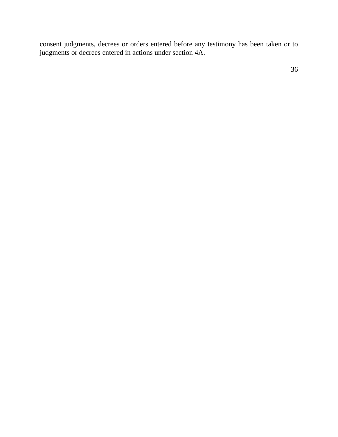consent judgments, decrees or orders entered before any testimony has been taken or to judgments or decrees entered in actions under section 4A.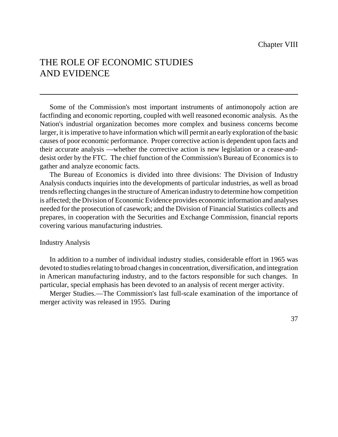## THE ROLE OF ECONOMIC STUDIES AND EVIDENCE

Some of the Commission's most important instruments of antimonopoly action are factfinding and economic reporting, coupled with well reasoned economic analysis. As the Nation's industrial organization becomes more complex and business concerns become larger, it is imperative to have information which will permit an early exploration of the basic causes of poor economic performance. Proper corrective action is dependent upon facts and their accurate analysis —whether the corrective action is new legislation or a cease-anddesist order by the FTC. The chief function of the Commission's Bureau of Economics is to gather and analyze economic facts.

The Bureau of Economics is divided into three divisions: The Division of Industry Analysis conducts inquiries into the developments of particular industries, as well as broad trends reflecting changes in the structure of American industry to determine how competition is affected; the Division of Economic Evidence provides economic information and analyses needed for the prosecution of casework; and the Division of Financial Statistics collects and prepares, in cooperation with the Securities and Exchange Commission, financial reports covering various manufacturing industries.

#### Industry Analysis

In addition to a number of individual industry studies, considerable effort in 1965 was devoted to studies relating to broad changes in concentration, diversification, and integration in American manufacturing industry, and to the factors responsible for such changes. In particular, special emphasis has been devoted to an analysis of recent merger activity.

Merger Studies.—The Commission's last full-scale examination of the importance of merger activity was released in 1955. During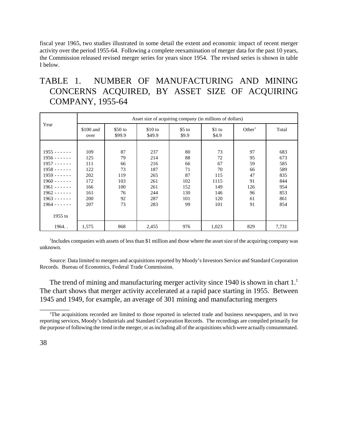fiscal year 1965, two studies illustrated in some detail the extent and economic impact of recent merger activity over the period 1955-64. Following a complete reexamination of merger data for the past 10 years, the Commission released revised merger series for years since 1954. The revised series is shown in table I below.

## TABLE 1. NUMBER OF MANUFACTURING AND MINING CONCERNS ACQUIRED, BY ASSET SIZE OF ACQUIRING COMPANY, 1955-64

|                  | Asset size of acquiring company (in millions of dollars) |                   |                   |                  |                 |                    |       |
|------------------|----------------------------------------------------------|-------------------|-------------------|------------------|-----------------|--------------------|-------|
| Year             | \$100 and<br>over                                        | \$50 to<br>\$99.9 | \$10 to<br>\$49.9 | $$5$ to<br>\$9.9 | \$1 to<br>\$4.9 | Other <sup>1</sup> | Total |
|                  |                                                          |                   |                   |                  |                 |                    |       |
| $1955 - - - - -$ | 109                                                      | 87                | 237               | 80               | 73              | 97                 | 683   |
| $1956 - - - - -$ | 125                                                      | 79                | 214               | 88               | 72              | 95                 | 673   |
| $1957 - - - - -$ | 111                                                      | 66                | 216               | 66               | 67              | 59                 | 585   |
| $1958 - - - - -$ | 122                                                      | 73                | 187               | 71               | 70              | 66                 | 589   |
| $1959 - - - - -$ | 202                                                      | 119               | 265               | 87               | 115             | 47                 | 835   |
| $1960 - - - - -$ | 172                                                      | 103               | 261               | 102              | 1115            | 91                 | 844   |
| $1961 - - - - -$ | 166                                                      | 100               | 261               | 152              | 149             | 126                | 954   |
| $1962 - - - - -$ | 161                                                      | 76                | 244               | 130              | 146             | 96                 | 853   |
| $1963 - - - - -$ | 200                                                      | 92                | 287               | 101              | 120             | 61                 | 861   |
| $1964 - - - - -$ | 207                                                      | 73                | 283               | 99               | 101             | 91                 | 854   |
|                  |                                                          |                   |                   |                  |                 |                    |       |
| $1955$ to        |                                                          |                   |                   |                  |                 |                    |       |
| 1964             | 1,575                                                    | 868               | 2,455             | 976              | 1,023           | 829                | 7,731 |

<sup>1</sup>Includes companies with assets of less than \$1 million and those where the asset size of the acquiring company was unknown.

Source: Data limited to mergers and acquisitions reported by Moody's Investors Service and Standard Corporation Records. Bureau of Economics, Federal Trade Commission.

The trend of mining and manufacturing merger activity since 1940 is shown in chart  $1<sup>1</sup>$ The chart shows that merger activity accelerated at a rapid pace starting in 1955. Between 1945 and 1949, for example, an average of 301 mining and manufacturing mergers

\_\_\_\_\_\_\_\_\_

The acquisitions recorded are limited to those reported in selected trade and business newspapers, and in two reporting services, Moody's Industrials and Standard Corporation Records. The recordings are compiled primarily for the purpose of following the trend in the merger, or as including all of the acquisitions which were actually consummated.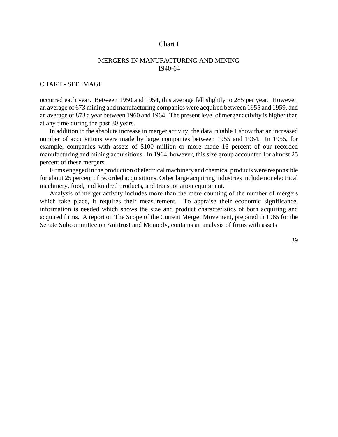#### Chart I

#### MERGERS IN MANUFACTURING AND MINING 1940-64

#### CHART - SEE IMAGE

occurred each year. Between 1950 and 1954, this average fell slightly to 285 per year. However, an average of 673 mining and manufacturing companies were acquired between 1955 and 1959, and an average of 873 a year between 1960 and 1964. The present level of merger activity is higher than at any time during the past 30 years.

In addition to the absolute increase in merger activity, the data in table 1 show that an increased number of acquisitions were made by large companies between 1955 and 1964. In 1955, for example, companies with assets of \$100 million or more made 16 percent of our recorded manufacturing and mining acquisitions. In 1964, however, this size group accounted for almost 25 percent of these mergers.

Firms engaged in the production of electrical machinery and chemical products were responsible for about 25 percent of recorded acquisitions. Other large acquiring industries include nonelectrical machinery, food, and kindred products, and transportation equipment.

Analysis of merger activity includes more than the mere counting of the number of mergers which take place, it requires their measurement. To appraise their economic significance, information is needed which shows the size and product characteristics of both acquiring and acquired firms. A report on The Scope of the Current Merger Movement, prepared in 1965 for the Senate Subcommittee on Antitrust and Monoply, contains an analysis of firms with assets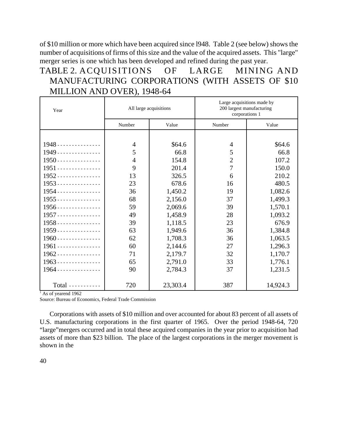of \$10 million or more which have been acquired since l948. Table 2 (see below) shows the number of acquisitions of firms of this size and the value of the acquired assets. This "large" merger series is one which has been developed and refined during the past year.

## TABLE 2. ACQUISITIONS OF LARGE MINING AND MANUFACTURING CORPORATIONS (WITH ASSETS OF \$10 MILLION AND OVER), 1948-64

| Year                   | All large acquisitions |          | Large acquisitions made by<br>200 largest manufacturing<br>corporations 1 |          |  |
|------------------------|------------------------|----------|---------------------------------------------------------------------------|----------|--|
|                        | Number                 | Value    | Number                                                                    | Value    |  |
|                        |                        |          |                                                                           |          |  |
| $1948$                 | $\overline{4}$         | \$64.6   | 4                                                                         | \$64.6   |  |
| $1949$                 | 5                      | 66.8     | 5                                                                         | 66.8     |  |
| $1950$                 | $\overline{4}$         | 154.8    | $\overline{2}$                                                            | 107.2    |  |
| $1951$                 | 9                      | 201.4    | $\overline{7}$                                                            | 150.0    |  |
| $1952$                 | 13                     | 326.5    | 6                                                                         | 210.2    |  |
| $1953$                 | 23                     | 678.6    | 16                                                                        | 480.5    |  |
| $1954$                 | 36                     | 1,450.2  | 19                                                                        | 1,082.6  |  |
| $1955$                 | 68                     | 2,156.0  | 37                                                                        | 1,499.3  |  |
| $1956$                 | 59                     | 2,069.6  | 39                                                                        | 1,570.1  |  |
| $1957$                 | 49                     | 1,458.9  | 28                                                                        | 1,093.2  |  |
| $1958$                 | 39                     | 1,118.5  | 23                                                                        | 676.9    |  |
| $1959$                 | 63                     | 1,949.6  | 36                                                                        | 1,384.8  |  |
| $1960$                 | 62                     | 1,708.3  | 36                                                                        | 1,063.5  |  |
| $1961$ --------------- | 60                     | 2,144.6  | 27                                                                        | 1,296.3  |  |
| $1962$                 | 71                     | 2,179.7  | 32                                                                        | 1,170.7  |  |
| $1963$                 | 65                     | 2,791.0  | 33                                                                        | 1,776.1  |  |
| $1964$                 | 90                     | 2,784.3  | 37                                                                        | 1,231.5  |  |
| Total                  | 720                    | 23,303.4 | 387                                                                       | 14,924.3 |  |

<sup>1</sup> As of yearend 1962

Source: Bureau of Economics, Federal Trade Commission

Corporations with assets of \$10 million and over accounted for about 83 percent of all assets of U.S. manufacturing corporations in the first quarter of 1965. Over the period 1948-64, 720 "large"mergers occurred and in total these acquired companies in the year prior to acquisition had assets of more than \$23 billion. The place of the largest corporations in the merger movement is shown in the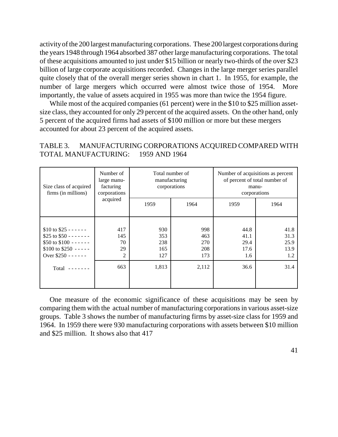activity of the 200 largest manufacturing corporations. These 200 largest corporations during the years 1948 through 1964 absorbed 387 other large manufacturing corporations. The total of these acquisitions amounted to just under \$15 billion or nearly two-thirds of the over \$23 billion of large corporate acquisitions recorded. Changes in the large merger series parallel quite closely that of the overall merger series shown in chart 1. In 1955, for example, the number of large mergers which occurred were almost twice those of 1954. More importantly, the value of assets acquired in 1955 was more than twice the 1954 figure.

While most of the acquired companies (61 percent) were in the \$10 to \$25 million assetsize class, they accounted for only 29 percent of the acquired assets. On the other hand, only 5 percent of the acquired firms had assets of \$100 million or more but these mergers accounted for about 23 percent of the acquired assets.

#### TABLE 3. MANUFACTURING CORPORATIONS ACQUIRED COMPARED WITH TOTAL MANUFACTURING: 1959 AND 1964

| Size class of acquired<br>firms (in millions) | Number of<br>large manu-<br>facturing<br>corporations | Total number of<br>manufacturing<br>corporations |       | Number of acquisitions as percent<br>of percent of total number of<br>manu-<br>corporations |      |
|-----------------------------------------------|-------------------------------------------------------|--------------------------------------------------|-------|---------------------------------------------------------------------------------------------|------|
|                                               | acquired                                              | 1959                                             | 1964  | 1959                                                                                        | 1964 |
|                                               |                                                       |                                                  |       |                                                                                             |      |
| \$10 to \$25 - - - - - -                      | 417                                                   | 930                                              | 998   | 44.8                                                                                        | 41.8 |
| \$25 to $$50$ - - - - - - -                   | 145                                                   | 353                                              | 463   | 41.1                                                                                        | 31.3 |
| \$50 to $$100 - - - - -$                      | 70                                                    | 238                                              | 270   | 29.4                                                                                        | 25.9 |
| \$100 to \$250 -----                          | 29                                                    | 165                                              | 208   | 17.6                                                                                        | 13.9 |
| Over \$250 - - - - - -                        | 2                                                     | 127                                              | 173   | 1.6                                                                                         | 1.2  |
| Total $---$                                   | 663                                                   | 1,813                                            | 2,112 | 36.6                                                                                        | 31.4 |
|                                               |                                                       |                                                  |       |                                                                                             |      |

One measure of the economic significance of these acquisitions may be seen by comparing them with the actual number of manufacturing corporations in various asset-size groups. Table 3 shows the number of manufacturing firms by asset-size class for 1959 and 1964. In 1959 there were 930 manufacturing corporations with assets between \$10 million and \$25 million. It shows also that 417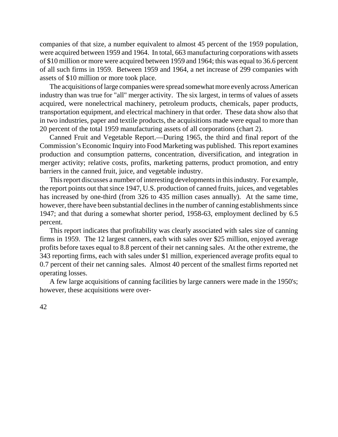companies of that size, a number equivalent to almost 45 percent of the 1959 population, were acquired between 1959 and 1964. In total, 663 manufacturing corporations with assets of \$10 million or more were acquired between 1959 and 1964; this was equal to 36.6 percent of all such firms in 1959. Between 1959 and 1964, a net increase of 299 companies with assets of \$10 million or more took place.

The acquisitions of large companies were spread somewhat more evenly across American industry than was true for "all" merger activity. The six largest, in terms of values of assets acquired, were nonelectrical machinery, petroleum products, chemicals, paper products, transportation equipment, and electrical machinery in that order. These data show also that in two industries, paper and textile products, the acquisitions made were equal to more than 20 percent of the total 1959 manufacturing assets of all corporations (chart 2).

Canned Fruit and Vegetable Report.—During 1965, the third and final report of the Commission's Economic Inquiry into Food Marketing was published. This report examines production and consumption patterns, concentration, diversification, and integration in merger activity; relative costs, profits, marketing patterns, product promotion, and entry barriers in the canned fruit, juice, and vegetable industry.

This report discusses a number of interesting developments in this industry. For example, the report points out that since 1947, U.S. production of canned fruits, juices, and vegetables has increased by one-third (from 326 to 435 million cases annually). At the same time, however, there have been substantial declines in the number of canning establishments since 1947; and that during a somewhat shorter period, 1958-63, employment declined by 6.5 percent.

This report indicates that profitability was clearly associated with sales size of canning firms in 1959. The 12 largest canners, each with sales over \$25 million, enjoyed average profits before taxes equal to 8.8 percent of their net canning sales. At the other extreme, the 343 reporting firms, each with sales under \$1 million, experienced average profits equal to 0.7 percent of their net canning sales. Almost 40 percent of the smallest firms reported net operating losses.

A few large acquisitions of canning facilities by large canners were made in the 1950's; however, these acquisitions were over-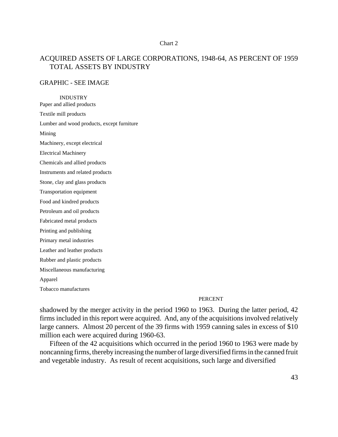#### Chart 2

#### ACQUIRED ASSETS OF LARGE CORPORATIONS, 1948-64, AS PERCENT OF 1959 TOTAL ASSETS BY INDUSTRY

#### GRAPHIC - SEE IMAGE

INDUSTRY Paper and allied products Textile mill products Lumber and wood products, except furniture Mining Machinery, except electrical Electrical Machinery Chemicals and allied products Instruments and related products Stone, clay and glass products Transportation equipment Food and kindred products Petroleum and oil products Fabricated metal products Printing and publishing Primary metal industries Leather and leather products Rubber and plastic products Miscellaneous manufacturing Apparel Tobacco manufactures

#### PERCENT

shadowed by the merger activity in the period 1960 to 1963. During the latter period, 42 firms included in this report were acquired. And, any of the acquisitions involved relatively large canners. Almost 20 percent of the 39 firms with 1959 canning sales in excess of \$10 million each were acquired during 1960-63.

Fifteen of the 42 acquisitions which occurred in the period 1960 to 1963 were made by noncanning firms, thereby increasing the number of large diversified firms in the canned fruit and vegetable industry. As result of recent acquisitions, such large and diversified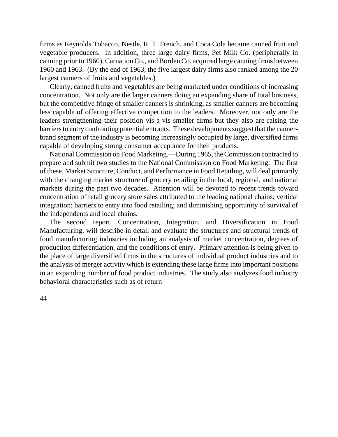firms as Reynolds Tobacco, Nestle, R. T. French, and Coca Cola became canned fruit and vegetable producers. In addition, three large dairy firms, Pet Milk Co. (peripherally in canning prior to 1960), Carnation Co., and Borden Co. acquired large canning firms between 1960 and 1963. (By the end of 1963, the five largest dairy firms also ranked among the 20 largest canners of fruits and vegetables.)

Clearly, canned fruits and vegetables are being marketed under conditions of increasing concentration. Not only are the larger canners doing an expanding share of total business, but the competitive fringe of smaller canners is shrinking, as smaller canners are becoming less capable of offering effective competition to the leaders. Moreover, not only are the leaders strengthening their position vis-a-vis smaller firms but they also are raising the barriers to entry confronting potential entrants. These developments suggest that the cannerbrand segment of the industry is becoming increasingly occupied by large, diversified firms capable of developing strong consumer acceptance for their products.

National Commission on Food Marketing.—During 1965, theCommission contracted to prepare and submit two studies to the National Commission on Food Marketing. The first of these, Market Structure, Conduct, and Performance in Food Retailing, will deal primarily with the changing market structure of grocery retailing in the local, regional, and national markets during the past two decades. Attention will be devoted to recent trends toward concentration of retail grocery store sales attributed to the leading national chains; vertical integration; barriers to entry into food retailing; and diminishing opportunity of survival of the independents and local chains.

The second report, Concentration, Integration, and Diversification in Food Manufacturing, will describe in detail and evaluate the structures and structural trends of food manufacturing industries including an analysis of market concentration, degrees of production differentiation, and the conditions of entry. Primary attention is being given to the place of large diversified firms in the structures of individual product industries and to the analysis of merger activity which is extending these large firms into important positions in an expanding number of food product industries. The study also analyzes food industry behavioral characteristics such as of return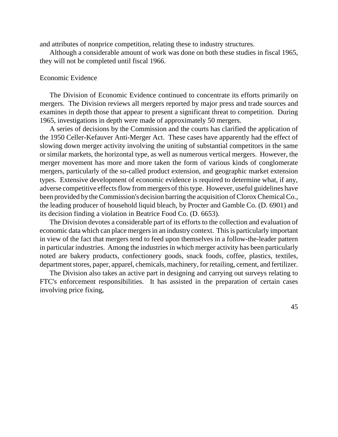and attributes of nonprice competition, relating these to industry structures.

Although a considerable amount of work was done on both these studies in fiscal 1965, they will not be completed until fiscal 1966.

#### Economic Evidence

The Division of Economic Evidence continued to concentrate its efforts primarily on mergers. The Division reviews all mergers reported by major press and trade sources and examines in depth those that appear to present a significant threat to competition. During 1965, investigations in depth were made of approximately 50 mergers.

A series of decisions by the Commission and the courts has clarified the application of the 1950 Celler-Kefauver Anti-Merger Act. These cases have apparently had the effect of slowing down merger activity involving the uniting of substantial competitors in the same or similar markets, the horizontal type, as well as numerous vertical mergers. However, the merger movement has more and more taken the form of various kinds of conglomerate mergers, particularly of the so-called product extension, and geographic market extension types. Extensive development of economic evidence is required to determine what, if any, adverse competitive effects flow from mergers of this type. However, useful guidelines have been provided by the Commission's decision barring the acquisition of Clorox Chemical Co., the leading producer of household liquid bleach, by Procter and Gamble Co. (D. 6901) and its decision finding a violation in Beatrice Food Co. (D. 6653).

The Division devotes a considerable part of its efforts to the collection and evaluation of economic data which can place mergersin an industry context. This is particularly important in view of the fact that mergers tend to feed upon themselves in a follow-the-leader pattern in particular industries. Among the industries in which merger activity has been particularly noted are bakery products, confectionery goods, snack foods, coffee, plastics, textiles, department stores, paper, apparel, chemicals, machinery, for retailing, cement, and fertilizer.

The Division also takes an active part in designing and carrying out surveys relating to FTC's enforcement responsibilities. It has assisted in the preparation of certain cases involving price fixing,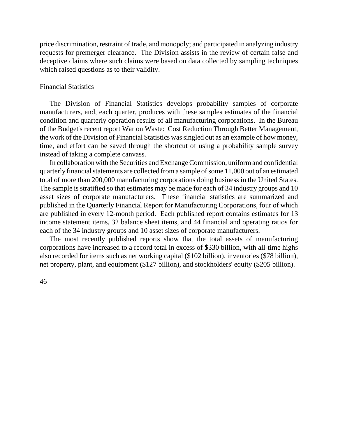price discrimination, restraint of trade, and monopoly; and participated in analyzing industry requests for premerger clearance. The Division assists in the review of certain false and deceptive claims where such claims were based on data collected by sampling techniques which raised questions as to their validity.

#### Financial Statistics

The Division of Financial Statistics develops probability samples of corporate manufacturers, and, each quarter, produces with these samples estimates of the financial condition and quarterly operation results of all manufacturing corporations. In the Bureau of the Budget's recent report War on Waste: Cost Reduction Through Better Management, the work of the Division of Financial Statistics wassingled out as an example of how money, time, and effort can be saved through the shortcut of using a probability sample survey instead of taking a complete canvass.

In collaboration with the Securities and Exchange Commission, uniform and confidential quarterly financial statements are collected from a sample of some 11,000 out of an estimated total of more than 200,000 manufacturing corporations doing business in the United States. The sample is stratified so that estimates may be made for each of 34 industry groups and 10 asset sizes of corporate manufacturers. These financial statistics are summarized and published in the Quarterly Financial Report for Manufacturing Corporations, four of which are published in every 12-month period. Each published report contains estimates for 13 income statement items, 32 balance sheet items, and 44 financial and operating ratios for each of the 34 industry groups and 10 asset sizes of corporate manufacturers.

The most recently published reports show that the total assets of manufacturing corporations have increased to a record total in excess of \$330 billion, with all-time highs also recorded for items such as net working capital (\$102 billion), inventories (\$78 billion), net property, plant, and equipment (\$127 billion), and stockholders' equity (\$205 billion).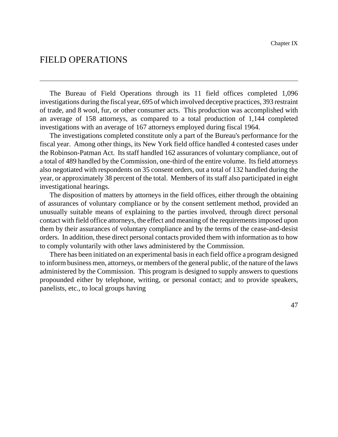## FIELD OPERATIONS

The Bureau of Field Operations through its 11 field offices completed 1,096 investigations during the fiscal year, 695 of which involved deceptive practices, 393 restraint of trade, and 8 wool, fur, or other consumer acts. This production was accomplished with an average of 158 attorneys, as compared to a total production of 1,144 completed investigations with an average of 167 attorneys employed during fiscal 1964.

The investigations completed constitute only a part of the Bureau's performance for the fiscal year. Among other things, its New York field office handled 4 contested cases under the Robinson-Patman Act. Its staff handled 162 assurances of voluntary compliance, out of a total of 489 handled by the Commission, one-third of the entire volume. Its field attorneys also negotiated with respondents on 35 consent orders, out a total of 132 handled during the year, or approximately 38 percent of the total. Members of its staff also participated in eight investigational hearings.

The disposition of matters by attorneys in the field offices, either through the obtaining of assurances of voluntary compliance or by the consent settlement method, provided an unusually suitable means of explaining to the parties involved, through direct personal contact with field office attorneys, the effect and meaning of the requirementsimposed upon them by their assurances of voluntary compliance and by the terms of the cease-and-desist orders. In addition, these direct personal contacts provided them with information as to how to comply voluntarily with other laws administered by the Commission.

There has been initiated on an experimental basis in each field office a program designed to inform business men, attorneys, or members of the general public, of the nature of the laws administered by the Commission. This program is designed to supply answers to questions propounded either by telephone, writing, or personal contact; and to provide speakers, panelists, etc., to local groups having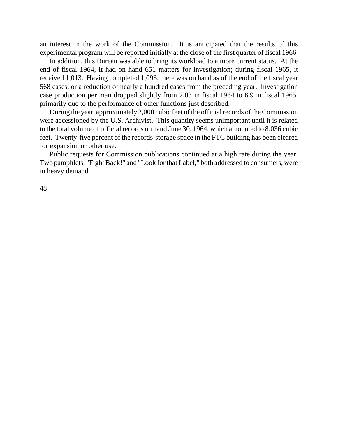an interest in the work of the Commission. It is anticipated that the results of this experimental program will be reported initially at the close of the first quarter of fiscal 1966.

In addition, this Bureau was able to bring its workload to a more current status. At the end of fiscal 1964, it had on hand 651 matters for investigation; during fiscal 1965, it received 1,013. Having completed 1,096, there was on hand as of the end of the fiscal year 568 cases, or a reduction of nearly a hundred cases from the preceding year. Investigation case production per man dropped slightly from 7.03 in fiscal 1964 to 6.9 in fiscal 1965, primarily due to the performance of other functions just described.

During the year, approximately 2,000 cubic feet of the official records of the Commission were accessioned by the U.S. Archivist. This quantity seems unimportant until it is related to the total volume of official records on hand June 30, 1964, which amounted to 8,036 cubic feet. Twenty-five percent of the records-storage space in the FTC building has been cleared for expansion or other use.

Public requests for Commission publications continued at a high rate during the year. Two pamphlets, "Fight Back!" and "Look for that Label," both addressed to consumers, were in heavy demand.

48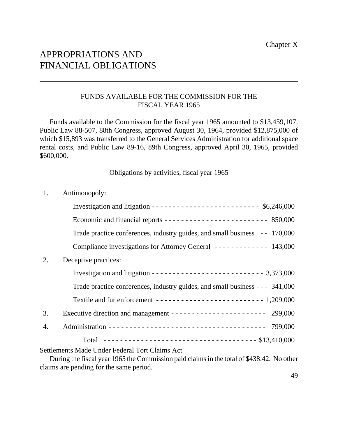## APPROPRIATIONS AND FINANCIAL OBLIGATIONS

#### FUNDS AVAILABLE FOR THE COMMISSION FOR THE FISCAL YEAR 1965

Funds available to the Commission for the fiscal year 1965 amounted to \$13,459,107. Public Law 88-507, 88th Congress, approved August 30, 1964, provided \$12,875,000 of which \$15,893 was transferred to the General Services Administration for additional space rental costs, and Public Law 89-16, 89th Congress, approved April 30, 1965, provided \$600,000.

Obligations by activities, fiscal year 1965

| 1. | Antimonopoly:                                                                                                                                                                          |
|----|----------------------------------------------------------------------------------------------------------------------------------------------------------------------------------------|
|    | Investigation and litigation -------------------------- $$6,246,000$                                                                                                                   |
|    | Economic and financial reports $\cdots$ = $\cdots$ = $\cdots$ = $\cdots$ = $\cdots$ = $\cdots$ = 850,000                                                                               |
|    | Trade practice conferences, industry guides, and small business - - 170,000                                                                                                            |
|    | Compliance investigations for Attorney General ------------ 143,000                                                                                                                    |
| 2. | Deceptive practices:                                                                                                                                                                   |
|    | Investigation and litigation ---------------------------- 3,373,000                                                                                                                    |
|    | Trade practice conferences, industry guides, and small business - - - 341,000                                                                                                          |
|    | Textile and fur enforcement -------------------------- 1,209,000                                                                                                                       |
| 3. | Executive direction and management --------------------- 299,000                                                                                                                       |
| 4. |                                                                                                                                                                                        |
|    |                                                                                                                                                                                        |
|    | Settlements Made Under Federal Tort Claims Act<br>During the fiscal year 1965 the Commission paid claims in the total of \$438.42. No other<br>claims are pending for the same period. |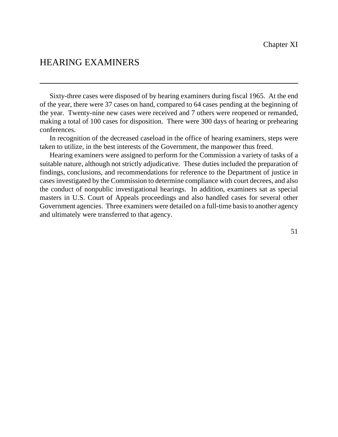## HEARING EXAMINERS

Sixty-three cases were disposed of by hearing examiners during fiscal 1965. At the end of the year, there were 37 cases on hand, compared to 64 cases pending at the beginning of the year. Twenty-nine new cases were received and 7 others were reopened or remanded, making a total of 100 cases for disposition. There were 300 days of hearing or prehearing conferences.

In recognition of the decreased caseload in the office of hearing examiners, steps were taken to utilize, in the best interests of the Government, the manpower thus freed.

Hearing examiners were assigned to perform for the Commission a variety of tasks of a suitable nature, although not strictly adjudicative. These duties included the preparation of findings, conclusions, and recommendations for reference to the Department of justice in cases investigated by the Commission to determine compliance with court decrees, and also the conduct of nonpublic investigational hearings. In addition, examiners sat as special masters in U.S. Court of Appeals proceedings and also handled cases for several other Government agencies. Three examiners were detailed on a full-time basis to another agency and ultimately were transferred to that agency.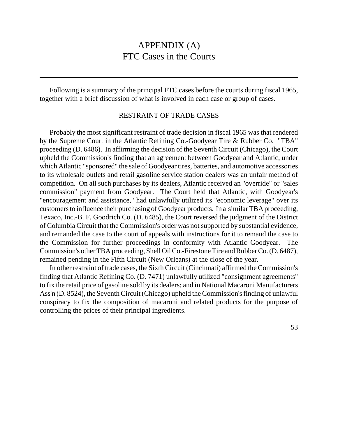## APPENDIX (A) FTC Cases in the Courts

Following is a summary of the principal FTC cases before the courts during fiscal 1965, together with a brief discussion of what is involved in each case or group of cases.

#### RESTRAINT OF TRADE CASES

Probably the most significant restraint of trade decision in fiscal 1965 was that rendered by the Supreme Court in the Atlantic Refining Co.-Goodyear Tire & Rubber Co. "TBA" proceeding (D. 6486). In affirming the decision of the Seventh Circuit (Chicago), the Court upheld the Commission's finding that an agreement between Goodyear and Atlantic, under which Atlantic "sponsored" the sale of Goodyear tires, batteries, and automotive accessories to its wholesale outlets and retail gasoline service station dealers was an unfair method of competition. On all such purchases by its dealers, Atlantic received an "override" or "sales commission" payment from Goodyear. The Court held that Atlantic, with Goodyear's "encouragement and assistance," had unlawfully utilized its "economic leverage" over its customersto influence their purchasing of Goodyear products. In a similar TBA proceeding, Texaco, Inc.-B. F. Goodrich Co. (D. 6485), the Court reversed the judgment of the District of Columbia Circuit that the Commission's order was notsupported by substantial evidence, and remanded the case to the court of appeals with instructions for it to remand the case to the Commission for further proceedings in conformity with Atlantic Goodyear. The Commission's other TBA proceeding, Shell Oil Co.-Firestone Tire and Rubber Co. (D. 6487), remained pending in the Fifth Circuit (New Orleans) at the close of the year.

In other restraint of trade cases, the Sixth Circuit (Cincinnati) affirmed the Commission's finding that Atlantic Refining Co. (D. 7471) unlawfully utilized "consignment agreements" to fix the retail price of gasoline sold by its dealers; and in National Macaroni Manufacturers Ass'n (D. 8524), the Seventh Circuit (Chicago) upheld the Commission's finding of unlawful conspiracy to fix the composition of macaroni and related products for the purpose of controlling the prices of their principal ingredients.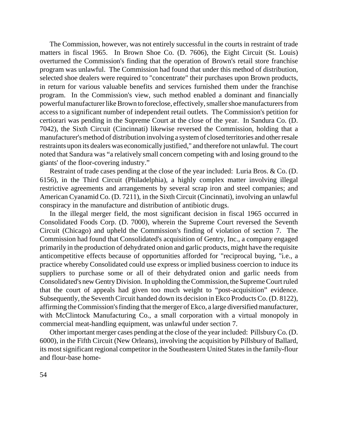The Commission, however, was not entirely successful in the courts in restraint of trade matters in fiscal 1965. In Brown Shoe Co. (D. 7606), the Eight Circuit (St. Louis) overturned the Commission's finding that the operation of Brown's retail store franchise program was unlawful. The Commission had found that under this method of distribution, selected shoe dealers were required to "concentrate" their purchases upon Brown products, in return for various valuable benefits and services furnished them under the franchise program. In the Commission's view, such method enabled a dominant and financially powerful manufacturer like Brown to foreclose, effectively, smaller shoe manufacturers from access to a significant number of independent retail outlets. The Commission's petition for certiorari was pending in the Supreme Court at the close of the year. In Sandura Co. (D. 7042), the Sixth Circuit (Cincinnati) likewise reversed the Commission, holding that a manufacturer's method of distribution involving a system of closed territories and other resale restraints upon its dealers was economically justified," and therefore not unlawful. The court noted that Sandura was "a relatively small concern competing with and losing ground to the giants' of the floor-covering industry."

Restraint of trade cases pending at the close of the year included: Luria Bros. & Co. (D. 6156), in the Third Circuit (Philadelphia), a highly complex matter involving illegal restrictive agreements and arrangements by several scrap iron and steel companies; and American Cyanamid Co. (D. 7211), in the Sixth Circuit (Cincinnati), involving an unlawful conspiracy in the manufacture and distribution of antibiotic drugs.

In the illegal merger field, the most significant decision in fiscal 1965 occurred in Consolidated Foods Corp. (D. 7000), wherein the Supreme Court reversed the Seventh Circuit (Chicago) and upheld the Commission's finding of violation of section 7. The Commission had found that Consolidated's acquisition of Gentry, Inc., a company engaged primarily in the production of dehydrated onion and garlic products, might have the requisite anticompetitive effects because of opportunities afforded for "reciprocal buying, "i.e., a practice whereby Consolidated could use express or implied business coercion to induce its suppliers to purchase some or all of their dehydrated onion and garlic needs from Consolidated's new Gentry Division. In upholding the Commission, the Supreme Court ruled that the court of appeals had given too much weight to "post-acquisition" evidence. Subsequently, the Seventh Circuit handed down its decision in Ekco ProductsCo. (D. 8122), affirming the Commission's finding that the merger of Ekco, a large diversified manufacturer, with McClintock Manufacturing Co., a small corporation with a virtual monopoly in commercial meat-handling equipment, was unlawful under section 7.

Other important merger cases pending at the close of the year included: Pillsbury Co. (D. 6000), in the Fifth Circuit (New Orleans), involving the acquisition by Pillsbury of Ballard, its most significant regional competitor in the Southeastern United States in the family-flour and flour-base home-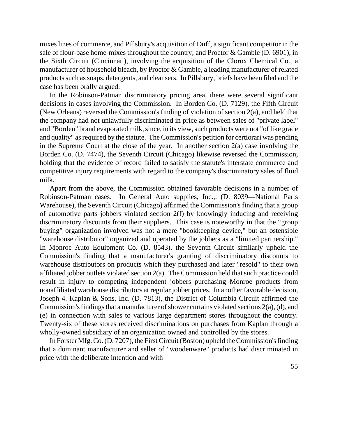mixes lines of commerce, and Pillsbury's acquisition of Duff, a significant competitor in the sale of flour-base home-mixes throughout the country; and Proctor & Gamble (D. 6901), in the Sixth Circuit (Cincinnati), involving the acquisition of the Clorox Chemical Co., a manufacturer of household bleach, by Proctor & Gamble, a leading manufacturer of related products such as soaps, detergents, and cleansers. In Pillsbury, briefs have been filed and the case has been orally argued.

In the Robinson-Patman discriminatory pricing area, there were several significant decisions in cases involving the Commission. In Borden Co. (D. 7129), the Fifth Circuit (New Orleans) reversed the Commission's finding of violation of section 2(a), and held that the company had not unlawfully discriminated in price as between sales of "private label" and "Borden" brand evaporated milk, since, in its view, such products were not "of like grade and quality" as required by the statute. The Commission's petition for certiorari was pending in the Supreme Court at the close of the year. In another section  $2(a)$  case involving the Borden Co. (D. 7474), the Seventh Circuit (Chicago) likewise reversed the Commission, holding that the evidence of record failed to satisfy the statute's interstate commerce and competitive injury requirements with regard to the company's discriminatory sales of fluid milk.

Apart from the above, the Commission obtained favorable decisions in a number of Robinson-Patman cases. In General Auto supplies, Inc.,. (D. 8039—National Parts Warehouse), the Seventh Circuit (Chicago) affirmed the Commission's finding that a group of automotive parts jobbers violated section 2(f) by knowingly inducing and receiving discriminatory discounts from their suppliers. This case is noteworthy in that the "group buying" organization involved was not a mere "bookkeeping device," but an ostensible "warehouse distributor" organized and operated by the jobbers as a "limited partnership." In Monroe Auto Equipment Co. (D. 8543), the Seventh Circuit similarly upheld the Commission's finding that a manufacturer's granting of discriminatory discounts to warehouse distributors on products which they purchased and later "resold" to their own affiliated jobber outlets violated section 2(a). The Commission held that such practice could result in injury to competing independent jobbers purchasing Monroe products from nonaffiliated warehouse distributors at regular jobber prices. In another favorable decision, Joseph 4. Kaplan & Sons, Inc. (D. 7813), the District of Columbia Circuit affirmed the Commission's findings that a manufacturer of shower curtains violated sections  $2(a)$ , (d), and (e) in connection with sales to various large department stores throughout the country. Twenty-six of these stores received discriminations on purchases from Kaplan through a wholly-owned subsidiary of an organization owned and controlled by the stores.

In Forster Mfg. Co. (D. 7207), the First Circuit (Boston) upheld the Commission's finding that a dominant manufacturer and seller of "woodenware" products had discriminated in price with the deliberate intention and with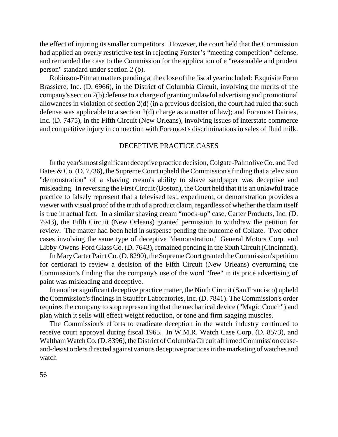the effect of injuring its smaller competitors. However, the court held that the Commission had applied an overly restrictive test in rejecting Forster's "meeting competition" defense, and remanded the case to the Commission for the application of a "reasonable and prudent person" standard under section 2 (b).

Robinson-Pitman matters pending at the close of the fiscal year included: Exquisite Form Brassiere, Inc. (D. 6966), in the District of Columbia Circuit, involving the merits of the company's section 2(b) defense to a charge of granting unlawful advertising and promotional allowances in violation of section 2(d) (in a previous decision, the court had ruled that such defense was applicable to a section 2(d) charge as a matter of law); and Foremost Dairies, Inc. (D. 7475), in the Fifth Circuit (New Orleans), involving issues of interstate commerce and competitive injury in connection with Foremost's discriminations in sales of fluid milk.

#### DECEPTIVE PRACTICE CASES

In the year's most significant deceptive practice decision, Colgate-Palmolive Co. and Ted Bates  $\&$  Co. (D. 7736), the Supreme Court upheld the Commission's finding that a television "demonstration" of a shaving cream's ability to shave sandpaper was deceptive and misleading. In reversing the First Circuit (Boston), the Court held that it is an unlawful trade practice to falsely represent that a televised test, experiment, or demonstration provides a viewer with visual proof of the truth of a product claim, regardless of whether the claim itself is true in actual fact. In a similar shaving cream "mock-up" case, Carter Products, Inc. (D. 7943), the Fifth Circuit (New Orleans) granted permission to withdraw the petition for review. The matter had been held in suspense pending the outcome of Collate. Two other cases involving the same type of deceptive "demonstration," General Motors Corp. and Libby-Owens-Ford Glass Co. (D. 7643), remained pending in the Sixth Circuit (Cincinnati).

In Mary Carter Paint Co. (D. 8290), the Supreme Court granted the Commission's petition for certiorari to review a decision of the Fifth Circuit (New Orleans) overturning the Commission's finding that the company's use of the word "free" in its price advertising of paint was misleading and deceptive.

In another significant deceptive practice matter, the Ninth Circuit (San Francisco) upheld the Commission's findings in Stauffer Laboratories, Inc. (D. 7841). The Commission's order requires the company to stop representing that the mechanical device ("Magic Couch") and plan which it sells will effect weight reduction, or tone and firm sagging muscles.

The Commission's efforts to eradicate deception in the watch industry continued to receive court approval during fiscal 1965. In W.M.R. Watch Case Corp. (D. 8573), and Waltham Watch Co. (D. 8396), the District of Columbia Circuit affirmed Commission ceaseand-desist orders directed against various deceptive practices in the marketing of watches and watch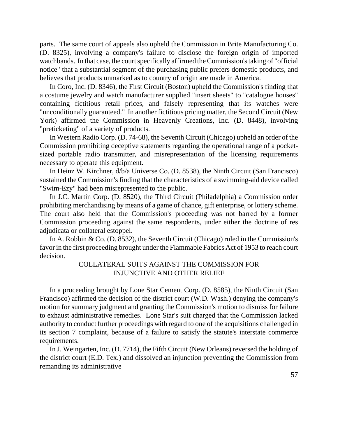parts. The same court of appeals also upheld the Commission in Brite Manufacturing Co. (D. 8325), involving a company's failure to disclose the foreign origin of imported watchbands. In that case, the court specifically affirmed the Commission's taking of "official notice" that a substantial segment of the purchasing public prefers domestic products, and believes that products unmarked as to country of origin are made in America.

In Coro, Inc. (D. 8346), the First Circuit (Boston) upheld the Commission's finding that a costume jewelry and watch manufacturer supplied "insert sheets" to "catalogue houses" containing fictitious retail prices, and falsely representing that its watches were "unconditionally guaranteed." In another fictitious pricing matter, the Second Circuit (New York) affirmed the Commission in Heavenly Creations, Inc. (D. 8448), involving "preticketing" of a variety of products.

In Western Radio Corp. (D. 74-68), the Seventh Circuit (Chicago) upheld an order of the Commission prohibiting deceptive statements regarding the operational range of a pocketsized portable radio transmitter, and misrepresentation of the licensing requirements necessary to operate this equipment.

In Heinz W. Kirchner, d/b/a Universe Co. (D. 8538), the Ninth Circuit (San Francisco) sustained the Commission's finding that the characteristics of a swimming-aid device called "Swim-Ezy" had been misrepresented to the public.

In J.C. Martin Corp. (D. 8520), the Third Circuit (Philadelphia) a Commission order prohibiting merchandising by means of a game of chance, gift enterprise, or lottery scheme. The court also held that the Commission's proceeding was not barred by a former Commission proceeding against the same respondents, under either the doctrine of res adjudicata or collateral estoppel.

In A. Robbin & Co. (D. 8532), the Seventh Circuit (Chicago) ruled in the Commission's favor in the first proceeding brought under the Flammable Fabrics Act of 1953 to reach court decision.

#### COLLATERAL SUITS AGAINST THE COMMISSION FOR INJUNCTIVE AND OTHER RELIEF

In a proceeding brought by Lone Star Cement Corp. (D. 8585), the Ninth Circuit (San Francisco) affirmed the decision of the district court (W.D. Wash.) denying the company's motion for summary judgment and granting the Commission's motion to dismiss for failure to exhaust administrative remedies. Lone Star's suit charged that the Commission lacked authority to conduct further proceedings with regard to one of the acquisitions challenged in its section 7 complaint, because of a failure to satisfy the statute's interstate commerce requirements.

In J. Weingarten, Inc. (D. 7714), the Fifth Circuit (New Orleans) reversed the holding of the district court (E.D. Tex.) and dissolved an injunction preventing the Commission from remanding its administrative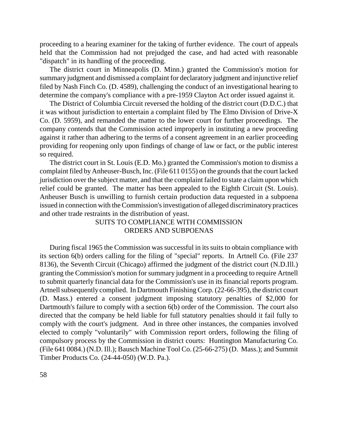proceeding to a hearing examiner for the taking of further evidence. The court of appeals held that the Commission had not prejudged the case, and had acted with reasonable "dispatch" in its handling of the proceeding.

The district court in Minneapolis (D. Minn.) granted the Commission's motion for summary judgment and dismissed a complaint for declaratory judgment and injunctive relief filed by Nash Finch Co. (D. 4589), challenging the conduct of an investigational hearing to determine the company's compliance with a pre-1959 Clayton Act order issued against it.

The District of Columbia Circuit reversed the holding of the district court (D.D.C.) that it was without jurisdiction to entertain a complaint filed by The Elmo Division of Drive-X Co. (D. 5959), and remanded the matter to the lower court for further proceedings. The company contends that the Commission acted improperly in instituting a new proceeding against it rather than adhering to the terms of a consent agreement in an earlier proceeding providing for reopening only upon findings of change of law or fact, or the public interest so required.

The district court in St. Louis (E.D. Mo.) granted the Commission's motion to dismiss a complaint filed by Anheuser-Busch, Inc. (File 611 0155) on the grounds that the court lacked jurisdiction over the subject matter, and that the complaint failed to state a claim upon which relief could be granted. The matter has been appealed to the Eighth Circuit (St. Louis). Anheuser Busch is unwilling to furnish certain production data requested in a subpoena issued in connection with the Commission's investigation of alleged discriminatory practices and other trade restraints in the distribution of yeast.

#### SUITS TO COMPLIANCE WITH COMMISSION ORDERS AND SUBPOENAS

During fiscal 1965 the Commission was successful in its suits to obtain compliance with its section 6(b) orders calling for the filing of "special" reports. In Artnell Co. (File 237 8136), the Seventh Circuit (Chicago) affirmed the judgment of the district court (N.D.Ill.) granting the Commission's motion for summary judgment in a proceeding to require Artnell to submit quarterly financial data for the Commission's use in its financial reports program. Artnell subsequently complied. In Dartmouth Finishing Corp. (22-66-395), the district court (D. Mass.) entered a consent judgment imposing statutory penalties of \$2,000 for Dartmouth's failure to comply with a section 6(b) order of the Commission. The court also directed that the company be held liable for full statutory penalties should it fail fully to comply with the court's judgment. And in three other instances, the companies involved elected to comply "voluntarily" with Commission report orders, following the filing of compulsory process by the Commission in district courts: Huntington Manufacturing Co. (File 641 0084.) (N.D. Ill.); Bausch Machine Tool Co. (25-66-275) (D. Mass.); and Summit Timber Products Co. (24-44-050) (W.D. Pa.).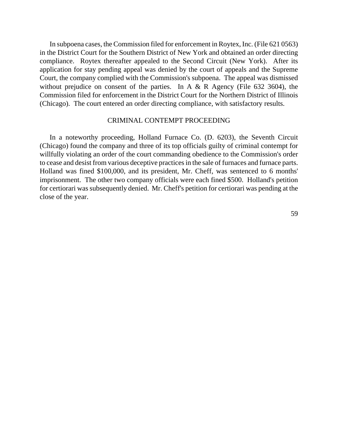In subpoena cases, the Commission filed for enforcement in Roytex, Inc. (File 621 0563) in the District Court for the Southern District of New York and obtained an order directing compliance. Roytex thereafter appealed to the Second Circuit (New York). After its application for stay pending appeal was denied by the court of appeals and the Supreme Court, the company complied with the Commission's subpoena. The appeal was dismissed without prejudice on consent of the parties. In A & R Agency (File 632 3604), the Commission filed for enforcement in the District Court for the Northern District of Illinois (Chicago). The court entered an order directing compliance, with satisfactory results.

#### CRIMINAL CONTEMPT PROCEEDING

In a noteworthy proceeding, Holland Furnace Co. (D. 6203), the Seventh Circuit (Chicago) found the company and three of its top officials guilty of criminal contempt for willfully violating an order of the court commanding obedience to the Commission's order to cease and desist from various deceptive practices in the sale of furnaces and furnace parts. Holland was fined \$100,000, and its president, Mr. Cheff, was sentenced to 6 months' imprisonment. The other two company officials were each fined \$500. Holland's petition for certiorari was subsequently denied. Mr. Cheff's petition for certiorari was pending at the close of the year.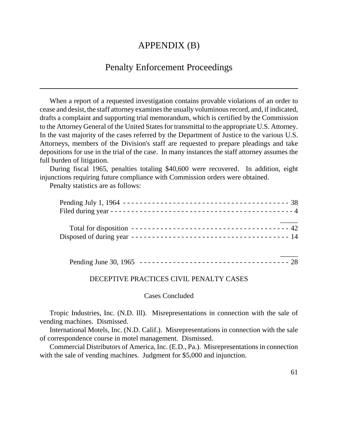## APPENDIX (B)

## Penalty Enforcement Proceedings

When a report of a requested investigation contains provable violations of an order to cease and desist, the staff attorney examines the usually voluminous record, and, if indicated, drafts a complaint and supporting trial memorandum, which is certified by the Commission to the Attorney General of the United States for transmittal to the appropriate U.S. Attorney. In the vast majority of the cases referred by the Department of Justice to the various U.S. Attorneys, members of the Division's staff are requested to prepare pleadings and take depositions for use in the trial of the case. In many instances the staff attorney assumes the full burden of litigation.

During fiscal 1965, penalties totaling \$40,600 were recovered. In addition, eight injunctions requiring future compliance with Commission orders were obtained.

Penalty statistics are as follows:

#### DECEPTIVE PRACTICES CIVIL PENALTY CASES

Cases Concluded

Tropic Industries, Inc. (N.D. Ill). Misrepresentations in connection with the sale of vending machines. Dismissed.

International Motels, Inc. (N.D. Calif.). Misrepresentations in connection with the sale of correspondence course in motel management. Dismissed.

Commercial Distributors of America, Inc. (E.D., Pa.). Misrepresentations in connection with the sale of vending machines. Judgment for \$5,000 and injunction.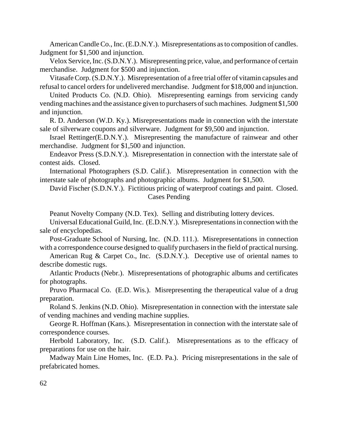American Candle Co., Inc. (E.D.N.Y.). Misrepresentations as to composition of candles. Judgment for \$1,500 and injunction.

Velox Service,Inc.(S.D.N.Y.). Misrepresenting price, value, and performance of certain merchandise. Judgment for \$500 and injunction.

VitasafeCorp. (S.D.N.Y.). Misrepresentation of a free trial offer of vitamin capsules and refusal to cancel orders for undelivered merchandise. Judgment for \$18,000 and injunction.

United Products Co. (N.D. Ohio). Misrepresenting earnings from servicing candy vending machines and the assistance given to purchasers of such machines. Judgment \$1,500 and injunction.

R. D. Anderson (W.D. Ky.). Misrepresentations made in connection with the interstate sale of silverware coupons and silverware. Judgment for \$9,500 and injunction.

Israel Rettinger(E.D.N.Y.). Misrepresenting the manufacture of rainwear and other merchandise. Judgment for \$1,500 and injunction.

Endeavor Press (S.D.N.Y.). Misrepresentation in connection with the interstate sale of contest aids. Closed.

International Photographers (S.D. Calif.). Misrepresentation in connection with the interstate sale of photographs and photographic albums. Judgment for \$1,500.

David Fischer (S.D.N.Y.). Fictitious pricing of waterproof coatings and paint. Closed. Cases Pending

Peanut Novelty Company (N.D. Tex). Selling and distributing lottery devices.

UniversalEducational Guild,Inc. (E.D.N.Y.). Misrepresentations in connection with the sale of encyclopedias.

Post-Graduate School of Nursing, Inc. (N.D. 111.). Misrepresentations in connection with a correspondence course designed to qualify purchasers in the field of practical nursing.

American Rug & Carpet Co., Inc. (S.D.N.Y.). Deceptive use of oriental names to describe domestic rugs.

Atlantic Products (Nebr.). Misrepresentations of photographic albums and certificates for photographs.

Pruvo Pharmacal Co. (E.D. Wis.). Misrepresenting the therapeutical value of a drug preparation.

Roland S. Jenkins (N.D. Ohio). Misrepresentation in connection with the interstate sale of vending machines and vending machine supplies.

George R. Hoffman (Kans.). Misrepresentation in connection with the interstate sale of correspondence courses.

Herbold Laboratory, Inc. (S.D. Calif.). Misrepresentations as to the efficacy of preparations for use on the hair.

Madway Main Line Homes, Inc. (E.D. Pa.). Pricing misrepresentations in the sale of prefabricated homes.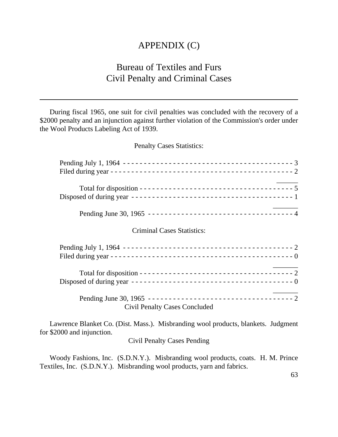## APPENDIX (C)

## Bureau of Textiles and Furs Civil Penalty and Criminal Cases

During fiscal 1965, one suit for civil penalties was concluded with the recovery of a \$2000 penalty and an injunction against further violation of the Commission's order under the Wool Products Labeling Act of 1939.

Penalty Cases Statistics:

| <b>Criminal Cases Statistics:</b>    |  |
|--------------------------------------|--|
|                                      |  |
|                                      |  |
|                                      |  |
|                                      |  |
|                                      |  |
|                                      |  |
|                                      |  |
| <b>Civil Penalty Cases Concluded</b> |  |
|                                      |  |

Lawrence Blanket Co. (Dist. Mass.). Misbranding wool products, blankets. Judgment for \$2000 and injunction.

Civil Penalty Cases Pending

Woody Fashions, Inc. (S.D.N.Y.). Misbranding wool products, coats. H. M. Prince Textiles, Inc. (S.D.N.Y.). Misbranding wool products, yarn and fabrics.

63